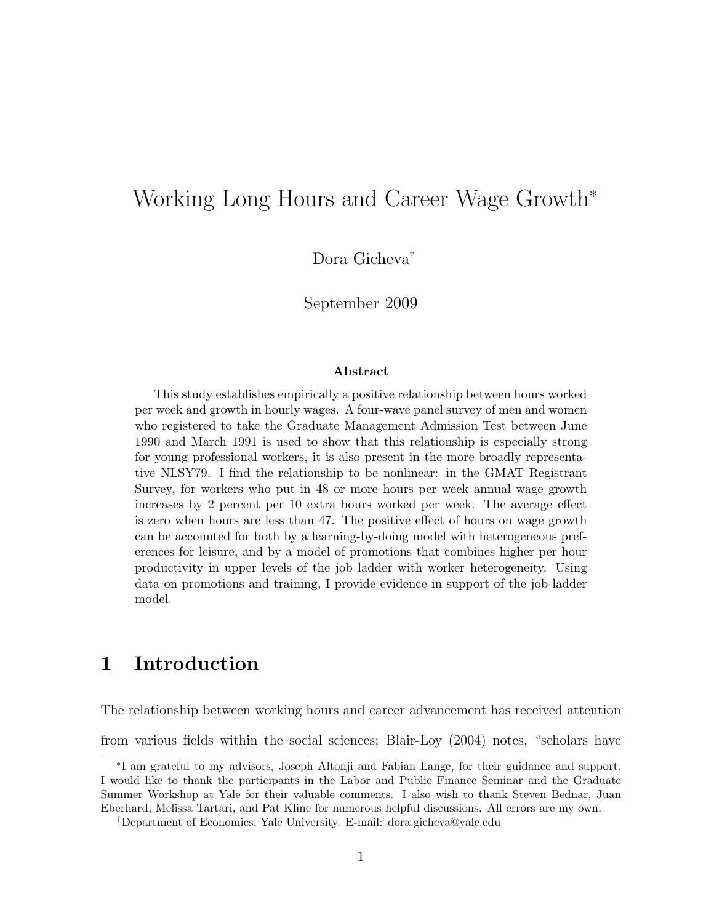## Working Long Hours and Career Wage Growth<sup>∗</sup>

Dora Gicheva†

September 2009

#### Abstract

This study establishes empirically a positive relationship between hours worked per week and growth in hourly wages. A four-wave panel survey of men and women who registered to take the Graduate Management Admission Test between June 1990 and March 1991 is used to show that this relationship is especially strong for young professional workers, it is also present in the more broadly representative NLSY79. I find the relationship to be nonlinear: in the GMAT Registrant Survey, for workers who put in 48 or more hours per week annual wage growth increases by 2 percent per 10 extra hours worked per week. The average effect is zero when hours are less than 47. The positive effect of hours on wage growth can be accounted for both by a learning-by-doing model with heterogeneous preferences for leisure, and by a model of promotions that combines higher per hour productivity in upper levels of the job ladder with worker heterogeneity. Using data on promotions and training, I provide evidence in support of the job-ladder model.

### 1 Introduction

The relationship between working hours and career advancement has received attention from various fields within the social sciences; Blair-Loy (2004) notes, "scholars have

<sup>∗</sup> I am grateful to my advisors, Joseph Altonji and Fabian Lange, for their guidance and support. I would like to thank the participants in the Labor and Public Finance Seminar and the Graduate Summer Workshop at Yale for their valuable comments. I also wish to thank Steven Bednar, Juan Eberhard, Melissa Tartari, and Pat Kline for numerous helpful discussions. All errors are my own.

<sup>†</sup>Department of Economics, Yale University. E-mail: dora.gicheva@yale.edu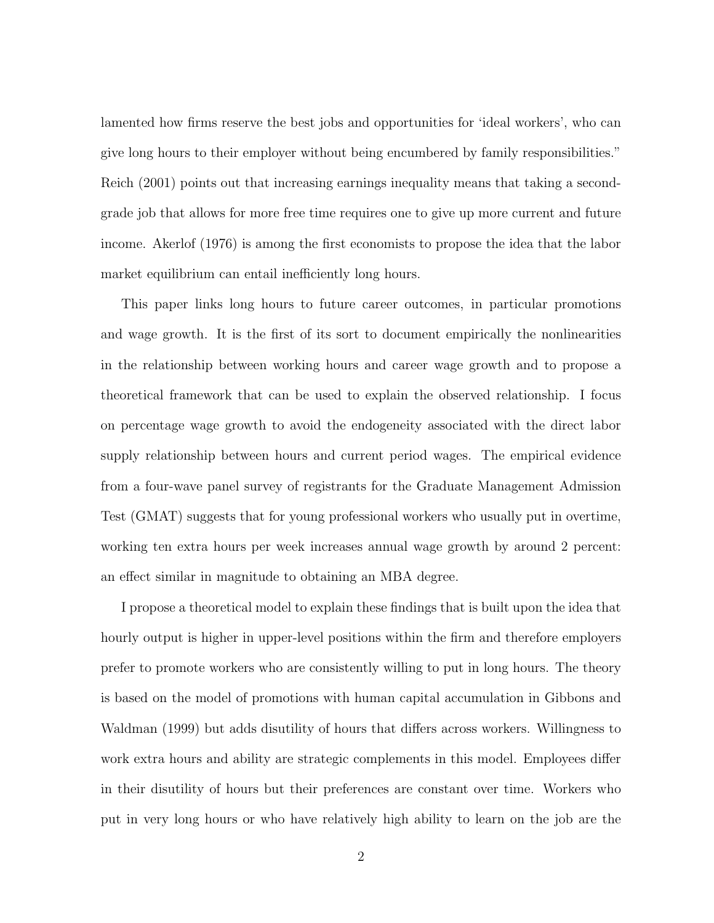lamented how firms reserve the best jobs and opportunities for 'ideal workers', who can give long hours to their employer without being encumbered by family responsibilities." Reich (2001) points out that increasing earnings inequality means that taking a secondgrade job that allows for more free time requires one to give up more current and future income. Akerlof (1976) is among the first economists to propose the idea that the labor market equilibrium can entail inefficiently long hours.

This paper links long hours to future career outcomes, in particular promotions and wage growth. It is the first of its sort to document empirically the nonlinearities in the relationship between working hours and career wage growth and to propose a theoretical framework that can be used to explain the observed relationship. I focus on percentage wage growth to avoid the endogeneity associated with the direct labor supply relationship between hours and current period wages. The empirical evidence from a four-wave panel survey of registrants for the Graduate Management Admission Test (GMAT) suggests that for young professional workers who usually put in overtime, working ten extra hours per week increases annual wage growth by around 2 percent: an effect similar in magnitude to obtaining an MBA degree.

I propose a theoretical model to explain these findings that is built upon the idea that hourly output is higher in upper-level positions within the firm and therefore employers prefer to promote workers who are consistently willing to put in long hours. The theory is based on the model of promotions with human capital accumulation in Gibbons and Waldman (1999) but adds disutility of hours that differs across workers. Willingness to work extra hours and ability are strategic complements in this model. Employees differ in their disutility of hours but their preferences are constant over time. Workers who put in very long hours or who have relatively high ability to learn on the job are the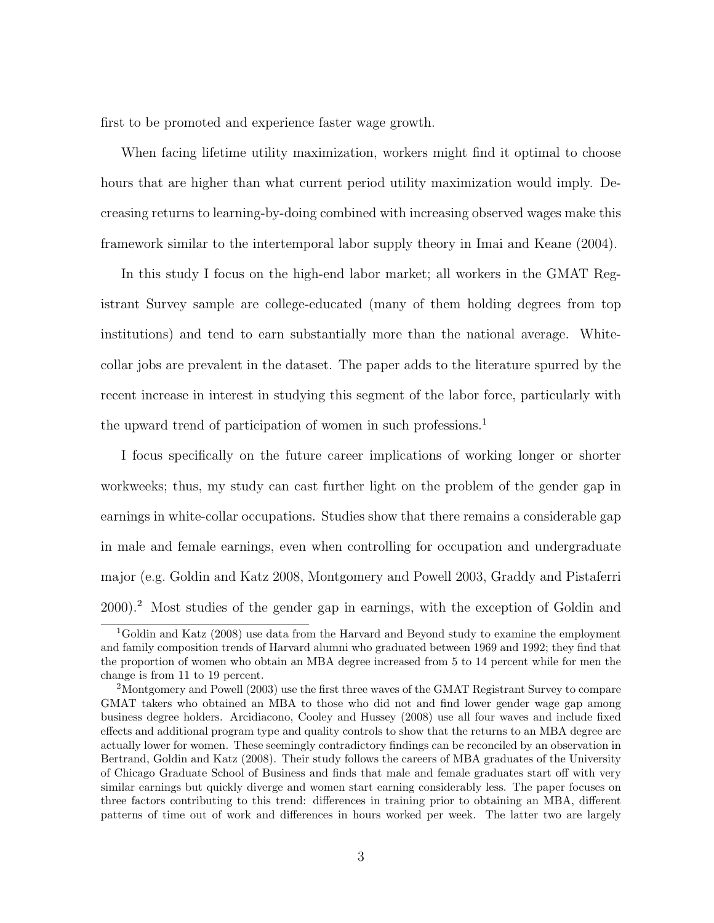first to be promoted and experience faster wage growth.

When facing lifetime utility maximization, workers might find it optimal to choose hours that are higher than what current period utility maximization would imply. Decreasing returns to learning-by-doing combined with increasing observed wages make this framework similar to the intertemporal labor supply theory in Imai and Keane (2004).

In this study I focus on the high-end labor market; all workers in the GMAT Registrant Survey sample are college-educated (many of them holding degrees from top institutions) and tend to earn substantially more than the national average. Whitecollar jobs are prevalent in the dataset. The paper adds to the literature spurred by the recent increase in interest in studying this segment of the labor force, particularly with the upward trend of participation of women in such professions.<sup>1</sup>

I focus specifically on the future career implications of working longer or shorter workweeks; thus, my study can cast further light on the problem of the gender gap in earnings in white-collar occupations. Studies show that there remains a considerable gap in male and female earnings, even when controlling for occupation and undergraduate major (e.g. Goldin and Katz 2008, Montgomery and Powell 2003, Graddy and Pistaferri 2000).<sup>2</sup> Most studies of the gender gap in earnings, with the exception of Goldin and

<sup>&</sup>lt;sup>1</sup>Goldin and Katz (2008) use data from the Harvard and Beyond study to examine the employment and family composition trends of Harvard alumni who graduated between 1969 and 1992; they find that the proportion of women who obtain an MBA degree increased from 5 to 14 percent while for men the change is from 11 to 19 percent.

<sup>2</sup>Montgomery and Powell (2003) use the first three waves of the GMAT Registrant Survey to compare GMAT takers who obtained an MBA to those who did not and find lower gender wage gap among business degree holders. Arcidiacono, Cooley and Hussey (2008) use all four waves and include fixed effects and additional program type and quality controls to show that the returns to an MBA degree are actually lower for women. These seemingly contradictory findings can be reconciled by an observation in Bertrand, Goldin and Katz (2008). Their study follows the careers of MBA graduates of the University of Chicago Graduate School of Business and finds that male and female graduates start off with very similar earnings but quickly diverge and women start earning considerably less. The paper focuses on three factors contributing to this trend: differences in training prior to obtaining an MBA, different patterns of time out of work and differences in hours worked per week. The latter two are largely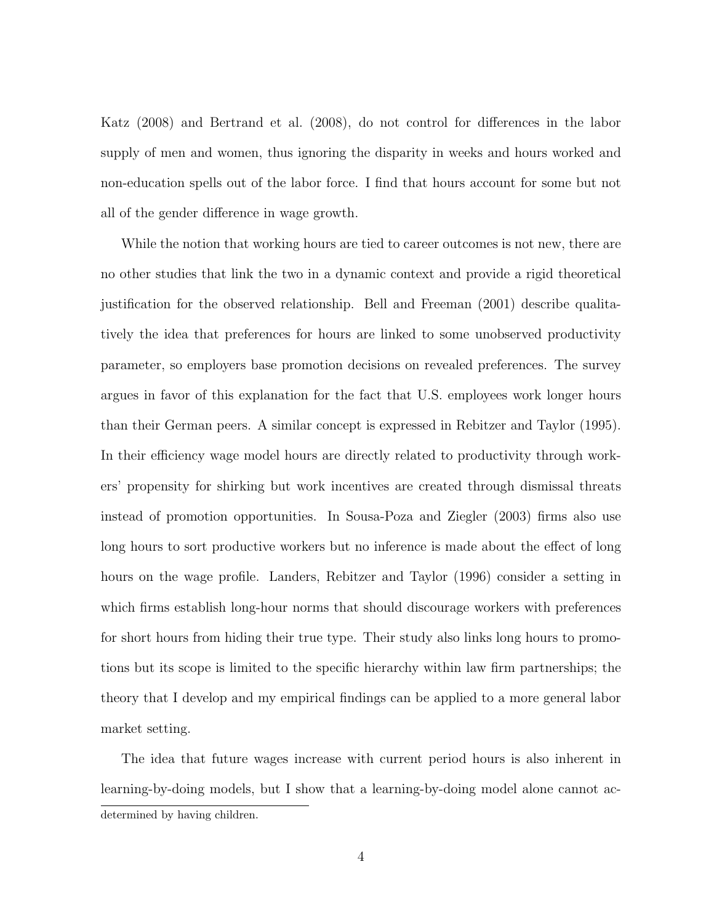Katz (2008) and Bertrand et al. (2008), do not control for differences in the labor supply of men and women, thus ignoring the disparity in weeks and hours worked and non-education spells out of the labor force. I find that hours account for some but not all of the gender difference in wage growth.

While the notion that working hours are tied to career outcomes is not new, there are no other studies that link the two in a dynamic context and provide a rigid theoretical justification for the observed relationship. Bell and Freeman (2001) describe qualitatively the idea that preferences for hours are linked to some unobserved productivity parameter, so employers base promotion decisions on revealed preferences. The survey argues in favor of this explanation for the fact that U.S. employees work longer hours than their German peers. A similar concept is expressed in Rebitzer and Taylor (1995). In their efficiency wage model hours are directly related to productivity through workers' propensity for shirking but work incentives are created through dismissal threats instead of promotion opportunities. In Sousa-Poza and Ziegler (2003) firms also use long hours to sort productive workers but no inference is made about the effect of long hours on the wage profile. Landers, Rebitzer and Taylor (1996) consider a setting in which firms establish long-hour norms that should discourage workers with preferences for short hours from hiding their true type. Their study also links long hours to promotions but its scope is limited to the specific hierarchy within law firm partnerships; the theory that I develop and my empirical findings can be applied to a more general labor market setting.

The idea that future wages increase with current period hours is also inherent in learning-by-doing models, but I show that a learning-by-doing model alone cannot acdetermined by having children.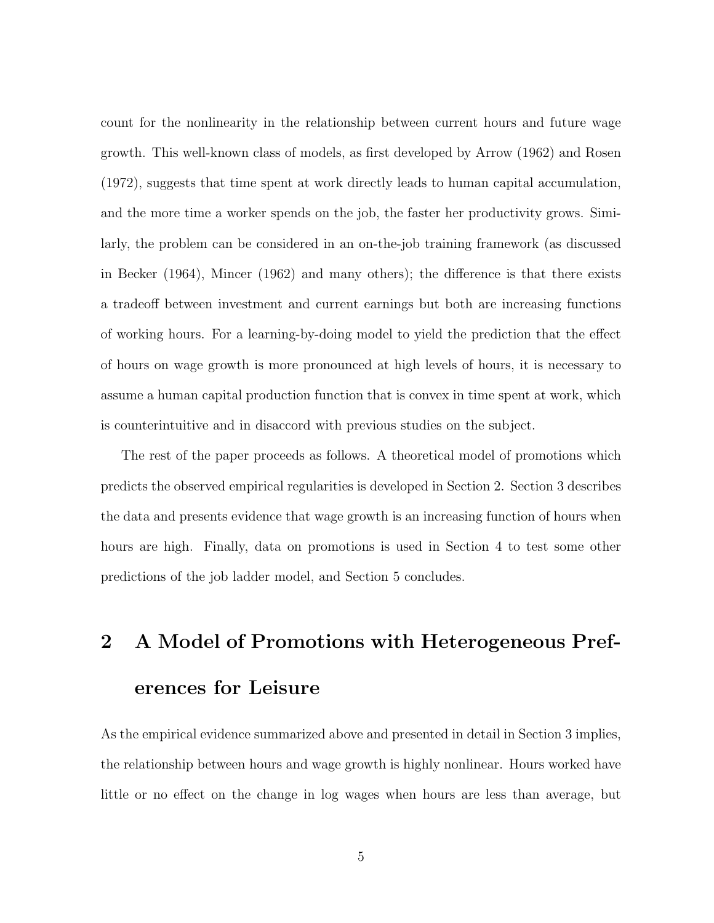count for the nonlinearity in the relationship between current hours and future wage growth. This well-known class of models, as first developed by Arrow (1962) and Rosen (1972), suggests that time spent at work directly leads to human capital accumulation, and the more time a worker spends on the job, the faster her productivity grows. Similarly, the problem can be considered in an on-the-job training framework (as discussed in Becker (1964), Mincer (1962) and many others); the difference is that there exists a tradeoff between investment and current earnings but both are increasing functions of working hours. For a learning-by-doing model to yield the prediction that the effect of hours on wage growth is more pronounced at high levels of hours, it is necessary to assume a human capital production function that is convex in time spent at work, which is counterintuitive and in disaccord with previous studies on the subject.

The rest of the paper proceeds as follows. A theoretical model of promotions which predicts the observed empirical regularities is developed in Section 2. Section 3 describes the data and presents evidence that wage growth is an increasing function of hours when hours are high. Finally, data on promotions is used in Section 4 to test some other predictions of the job ladder model, and Section 5 concludes.

# 2 A Model of Promotions with Heterogeneous Preferences for Leisure

As the empirical evidence summarized above and presented in detail in Section 3 implies, the relationship between hours and wage growth is highly nonlinear. Hours worked have little or no effect on the change in log wages when hours are less than average, but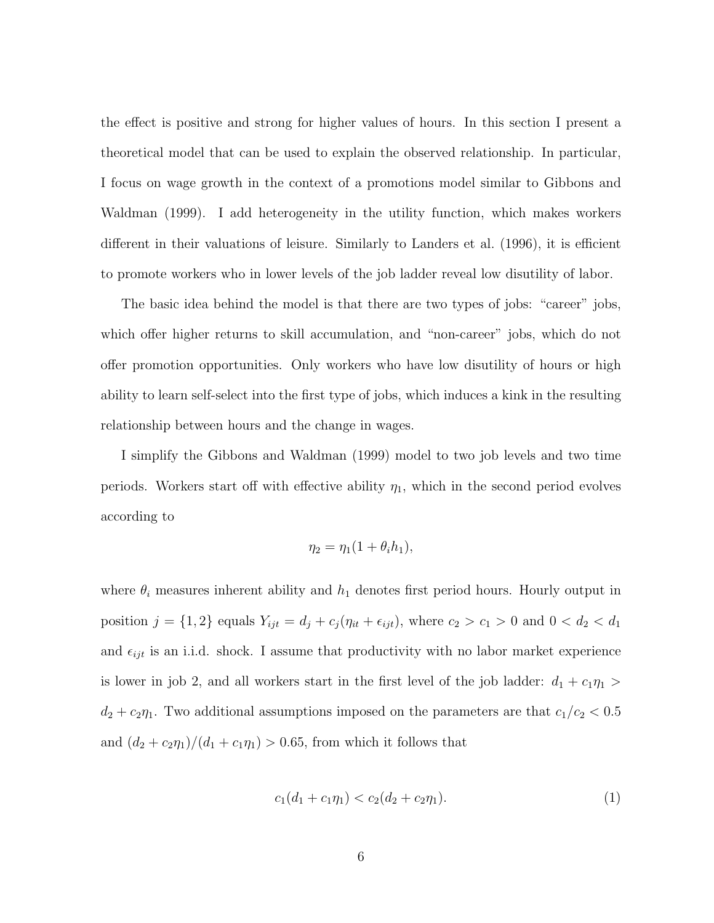the effect is positive and strong for higher values of hours. In this section I present a theoretical model that can be used to explain the observed relationship. In particular, I focus on wage growth in the context of a promotions model similar to Gibbons and Waldman (1999). I add heterogeneity in the utility function, which makes workers different in their valuations of leisure. Similarly to Landers et al. (1996), it is efficient to promote workers who in lower levels of the job ladder reveal low disutility of labor.

The basic idea behind the model is that there are two types of jobs: "career" jobs, which offer higher returns to skill accumulation, and "non-career" jobs, which do not offer promotion opportunities. Only workers who have low disutility of hours or high ability to learn self-select into the first type of jobs, which induces a kink in the resulting relationship between hours and the change in wages.

I simplify the Gibbons and Waldman (1999) model to two job levels and two time periods. Workers start off with effective ability  $\eta_1$ , which in the second period evolves according to

$$
\eta_2 = \eta_1(1 + \theta_i h_1),
$$

where  $\theta_i$  measures inherent ability and  $h_1$  denotes first period hours. Hourly output in position  $j = \{1, 2\}$  equals  $Y_{ijt} = d_j + c_j(\eta_{it} + \epsilon_{ijt})$ , where  $c_2 > c_1 > 0$  and  $0 < d_2 < d_1$ and  $\epsilon_{ijt}$  is an i.i.d. shock. I assume that productivity with no labor market experience is lower in job 2, and all workers start in the first level of the job ladder:  $d_1 + c_1 \eta_1$  >  $d_2 + c_2 \eta_1$ . Two additional assumptions imposed on the parameters are that  $c_1/c_2 < 0.5$ and  $(d_2 + c_2 \eta_1)/(d_1 + c_1 \eta_1) > 0.65$ , from which it follows that

$$
c_1(d_1 + c_1 \eta_1) < c_2(d_2 + c_2 \eta_1). \tag{1}
$$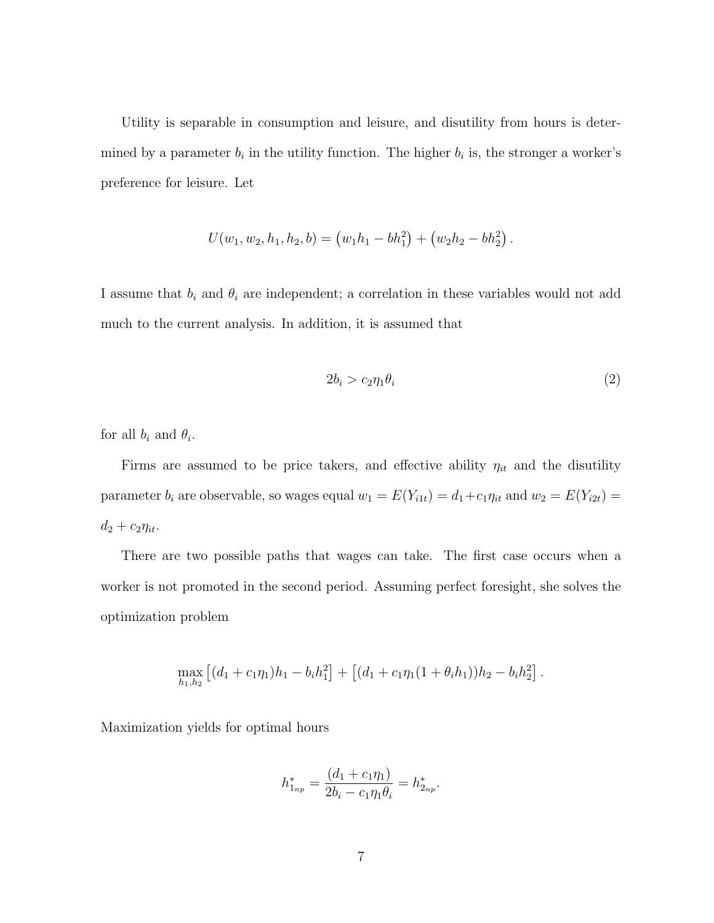Utility is separable in consumption and leisure, and disutility from hours is determined by a parameter  $b_i$  in the utility function. The higher  $b_i$  is, the stronger a worker's preference for leisure. Let

$$
U(w_1, w_2, h_1, h_2, b) = (w_1h_1 - bh_1^2) + (w_2h_2 - bh_2^2).
$$

I assume that  $b_i$  and  $\theta_i$  are independent; a correlation in these variables would not add much to the current analysis. In addition, it is assumed that

$$
2b_i > c_2 \eta_1 \theta_i \tag{2}
$$

for all  $b_i$  and  $\theta_i$ .

Firms are assumed to be price takers, and effective ability  $\eta_{it}$  and the disutility parameter  $b_i$  are observable, so wages equal  $w_1 = E(Y_{i1t}) = d_1 + c_1 \eta_{it}$  and  $w_2 = E(Y_{i2t}) =$  $d_2 + c_2 \eta_{it}.$ 

There are two possible paths that wages can take. The first case occurs when a worker is not promoted in the second period. Assuming perfect foresight, she solves the optimization problem

$$
\max_{h_1,h_2} [(d_1 + c_1 \eta_1)h_1 - b_i h_1^2] + [(d_1 + c_1 \eta_1 (1 + \theta_i h_1))h_2 - b_i h_2^2].
$$

Maximization yields for optimal hours

$$
h_{1_{np}}^* = \frac{(d_1 + c_1 \eta_1)}{2b_i - c_1 \eta_1 \theta_i} = h_{2_{np}}^*.
$$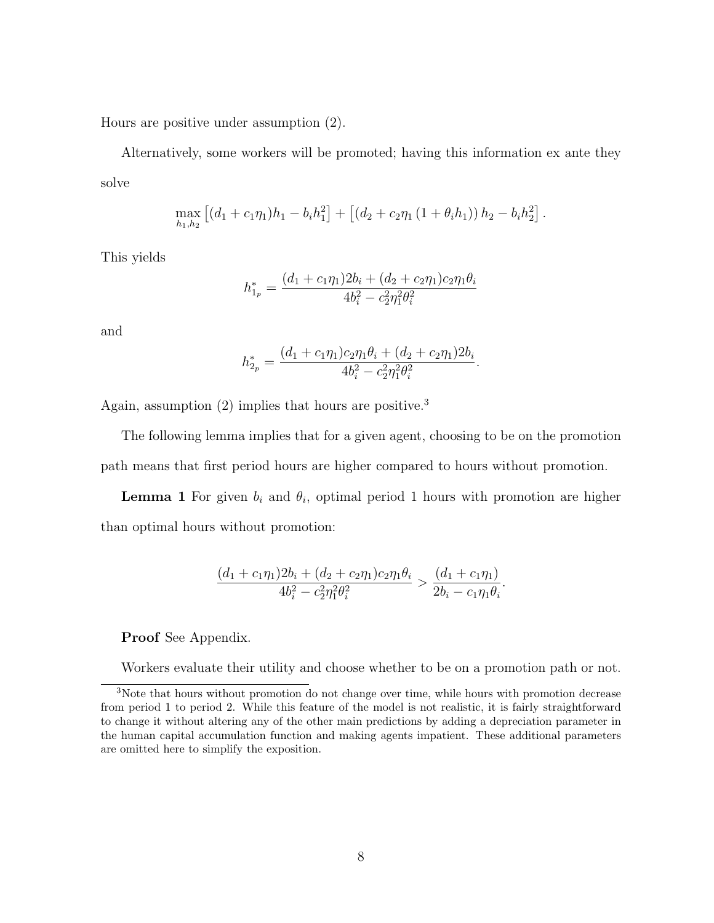Hours are positive under assumption (2).

Alternatively, some workers will be promoted; having this information ex ante they solve

$$
\max_{h_1,h_2} [(d_1 + c_1 \eta_1)h_1 - b_i h_1^2] + [(d_2 + c_2 \eta_1 (1 + \theta_i h_1)) h_2 - b_i h_2^2].
$$

This yields

$$
h_{1_p}^* = \frac{(d_1 + c_1 \eta_1)2b_i + (d_2 + c_2 \eta_1)c_2 \eta_1 \theta_i}{4b_i^2 - c_2^2 \eta_1^2 \theta_i^2}
$$

and

$$
h_{2p}^* = \frac{(d_1 + c_1\eta_1)c_2\eta_1\theta_i + (d_2 + c_2\eta_1)2b_i}{4b_i^2 - c_2^2\eta_1^2\theta_i^2}.
$$

Again, assumption (2) implies that hours are positive.<sup>3</sup>

The following lemma implies that for a given agent, choosing to be on the promotion path means that first period hours are higher compared to hours without promotion.

**Lemma 1** For given  $b_i$  and  $\theta_i$ , optimal period 1 hours with promotion are higher than optimal hours without promotion:

$$
\frac{(d_1 + c_1\eta_1)2b_i + (d_2 + c_2\eta_1)c_2\eta_1\theta_i}{4b_i^2 - c_2^2\eta_1^2\theta_i^2} > \frac{(d_1 + c_1\eta_1)}{2b_i - c_1\eta_1\theta_i}.
$$

Proof See Appendix.

Workers evaluate their utility and choose whether to be on a promotion path or not.

<sup>&</sup>lt;sup>3</sup>Note that hours without promotion do not change over time, while hours with promotion decrease from period 1 to period 2. While this feature of the model is not realistic, it is fairly straightforward to change it without altering any of the other main predictions by adding a depreciation parameter in the human capital accumulation function and making agents impatient. These additional parameters are omitted here to simplify the exposition.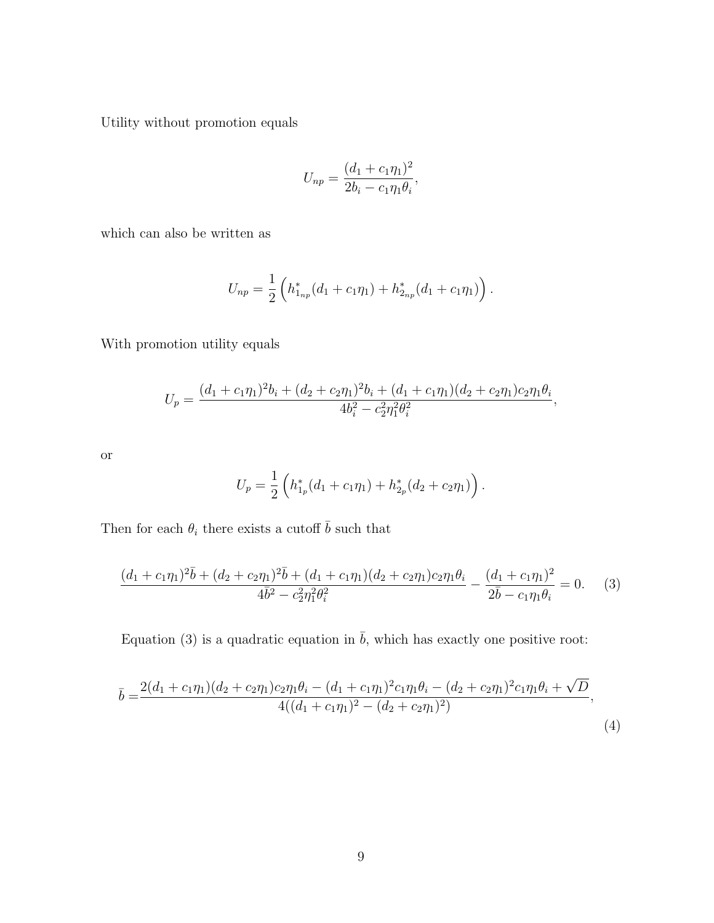Utility without promotion equals

$$
U_{np} = \frac{(d_1 + c_1 \eta_1)^2}{2b_i - c_1 \eta_1 \theta_i},
$$

which can also be written as

$$
U_{np} = \frac{1}{2} \left( h_{1_{np}}^* (d_1 + c_1 \eta_1) + h_{2_{np}}^* (d_1 + c_1 \eta_1) \right).
$$

With promotion utility equals

$$
U_p = \frac{(d_1 + c_1\eta_1)^2 b_i + (d_2 + c_2\eta_1)^2 b_i + (d_1 + c_1\eta_1)(d_2 + c_2\eta_1)c_2\eta_1\theta_i}{4b_i^2 - c_2^2\eta_1^2\theta_i^2},
$$

or

$$
U_p = \frac{1}{2} \left( h_{1_p}^*(d_1 + c_1 \eta_1) + h_{2_p}^*(d_2 + c_2 \eta_1) \right).
$$

Then for each  $\theta_i$  there exists a cutoff  $\bar{b}$  such that

$$
\frac{(d_1 + c_1\eta_1)^2 \bar{b} + (d_2 + c_2\eta_1)^2 \bar{b} + (d_1 + c_1\eta_1)(d_2 + c_2\eta_1)c_2\eta_1\theta_i}{4\bar{b}^2 - c_2^2\eta_1^2\theta_i^2} - \frac{(d_1 + c_1\eta_1)^2}{2\bar{b} - c_1\eta_1\theta_i} = 0.
$$
 (3)

Equation (3) is a quadratic equation in  $\bar{b}$ , which has exactly one positive root:

$$
\bar{b} = \frac{2(d_1 + c_1\eta_1)(d_2 + c_2\eta_1)c_2\eta_1\theta_i - (d_1 + c_1\eta_1)^2c_1\eta_1\theta_i - (d_2 + c_2\eta_1)^2c_1\eta_1\theta_i + \sqrt{D}}{4((d_1 + c_1\eta_1)^2 - (d_2 + c_2\eta_1)^2)}
$$
\n
$$
(4)
$$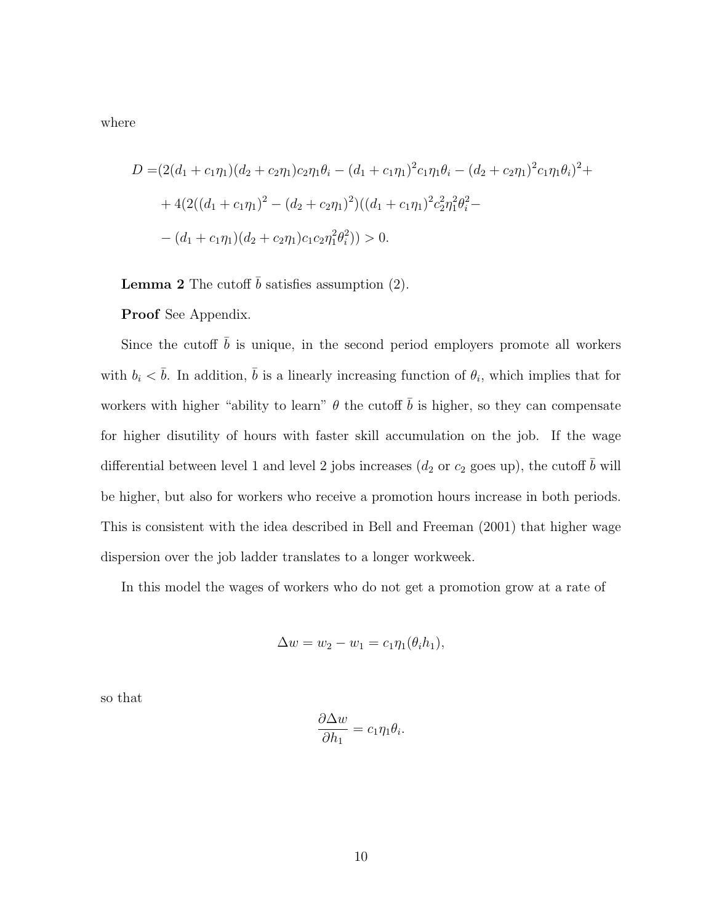where

$$
D = (2(d_1 + c_1\eta_1)(d_2 + c_2\eta_1)c_2\eta_1\theta_i - (d_1 + c_1\eta_1)^2c_1\eta_1\theta_i - (d_2 + c_2\eta_1)^2c_1\eta_1\theta_i)^2 +
$$
  
+ 
$$
4(2((d_1 + c_1\eta_1)^2 - (d_2 + c_2\eta_1)^2)((d_1 + c_1\eta_1)^2c_2^2\eta_1^2\theta_i^2 -
$$
  
- 
$$
(d_1 + c_1\eta_1)(d_2 + c_2\eta_1)c_1c_2\eta_1^2\theta_i^2)) > 0.
$$

**Lemma 2** The cutoff  $\bar{b}$  satisfies assumption (2).

Proof See Appendix.

Since the cutoff  $b$  is unique, in the second period employers promote all workers with  $b_i < \bar{b}$ . In addition,  $\bar{b}$  is a linearly increasing function of  $\theta_i$ , which implies that for workers with higher "ability to learn"  $\theta$  the cutoff  $\bar{b}$  is higher, so they can compensate for higher disutility of hours with faster skill accumulation on the job. If the wage differential between level 1 and level 2 jobs increases ( $d_2$  or  $c_2$  goes up), the cutoff  $\bar{b}$  will be higher, but also for workers who receive a promotion hours increase in both periods. This is consistent with the idea described in Bell and Freeman (2001) that higher wage dispersion over the job ladder translates to a longer workweek.

In this model the wages of workers who do not get a promotion grow at a rate of

$$
\Delta w = w_2 - w_1 = c_1 \eta_1(\theta_i h_1),
$$

so that

$$
\frac{\partial \Delta w}{\partial h_1} = c_1 \eta_1 \theta_i.
$$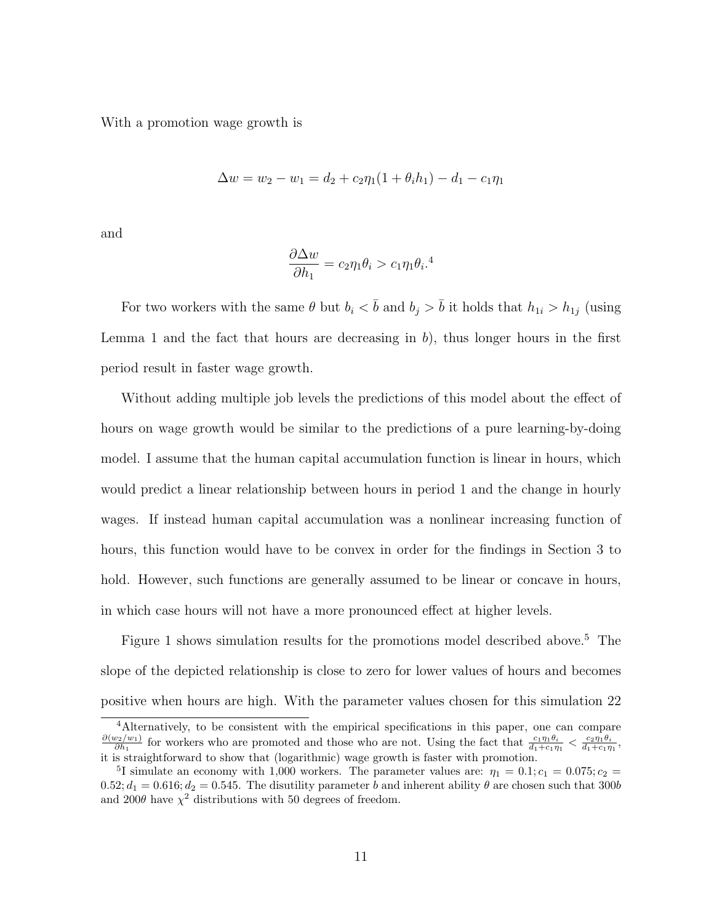With a promotion wage growth is

$$
\Delta w = w_2 - w_1 = d_2 + c_2 \eta_1 (1 + \theta_i h_1) - d_1 - c_1 \eta_1
$$

and

$$
\frac{\partial \Delta w}{\partial h_1} = c_2 \eta_1 \theta_i > c_1 \eta_1 \theta_i.
$$
<sup>4</sup>

For two workers with the same  $\theta$  but  $b_i < \bar{b}$  and  $b_j > \bar{b}$  it holds that  $h_{1i} > h_{1j}$  (using Lemma 1 and the fact that hours are decreasing in  $b$ ), thus longer hours in the first period result in faster wage growth.

Without adding multiple job levels the predictions of this model about the effect of hours on wage growth would be similar to the predictions of a pure learning-by-doing model. I assume that the human capital accumulation function is linear in hours, which would predict a linear relationship between hours in period 1 and the change in hourly wages. If instead human capital accumulation was a nonlinear increasing function of hours, this function would have to be convex in order for the findings in Section 3 to hold. However, such functions are generally assumed to be linear or concave in hours, in which case hours will not have a more pronounced effect at higher levels.

Figure 1 shows simulation results for the promotions model described above.<sup>5</sup> The slope of the depicted relationship is close to zero for lower values of hours and becomes positive when hours are high. With the parameter values chosen for this simulation 22

<sup>&</sup>lt;sup>4</sup>Alternatively, to be consistent with the empirical specifications in this paper, one can compare  $\partial(w_2/w_1)$  $\frac{v_2/w_1}{\partial h_1}$  for workers who are promoted and those who are not. Using the fact that  $\frac{c_1\eta_1\theta_i}{d_1+c_1\eta_1} < \frac{c_2\eta_1\theta_i}{d_1+c_1\eta_1}$ it is straightforward to show that (logarithmic) wage growth is faster with promotion.

<sup>&</sup>lt;sup>5</sup>I simulate an economy with 1,000 workers. The parameter values are:  $\eta_1 = 0.1; c_1 = 0.075; c_2 =$ 0.52;  $d_1 = 0.616$ ;  $d_2 = 0.545$ . The disutility parameter b and inherent ability  $\theta$  are chosen such that 300b and 200 $\theta$  have  $\chi^2$  distributions with 50 degrees of freedom.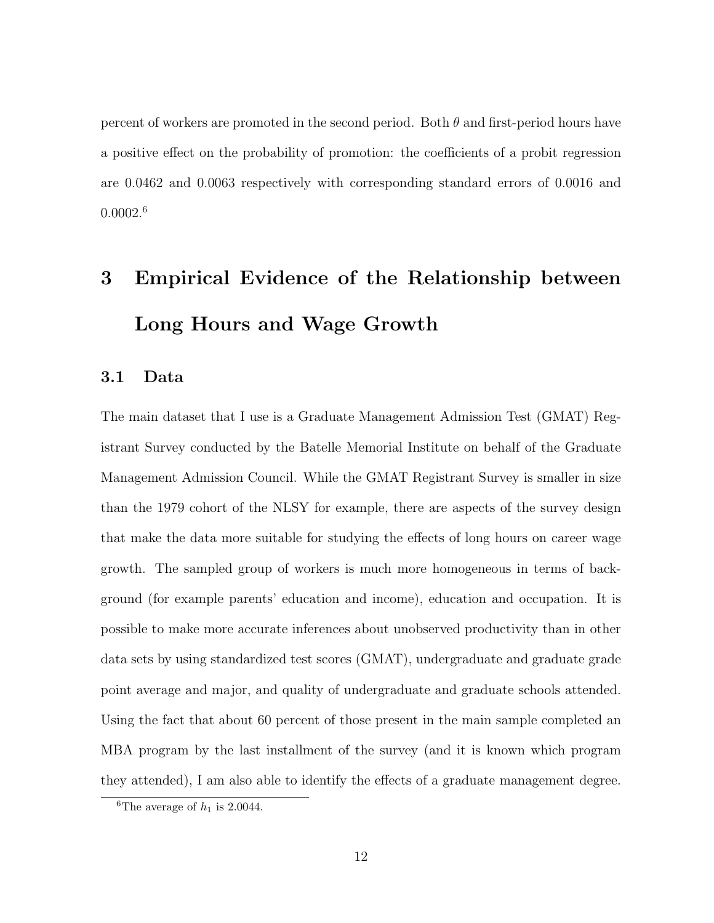percent of workers are promoted in the second period. Both  $\theta$  and first-period hours have a positive effect on the probability of promotion: the coefficients of a probit regression are 0.0462 and 0.0063 respectively with corresponding standard errors of 0.0016 and 0.0002.<sup>6</sup>

# 3 Empirical Evidence of the Relationship between Long Hours and Wage Growth

### 3.1 Data

The main dataset that I use is a Graduate Management Admission Test (GMAT) Registrant Survey conducted by the Batelle Memorial Institute on behalf of the Graduate Management Admission Council. While the GMAT Registrant Survey is smaller in size than the 1979 cohort of the NLSY for example, there are aspects of the survey design that make the data more suitable for studying the effects of long hours on career wage growth. The sampled group of workers is much more homogeneous in terms of background (for example parents' education and income), education and occupation. It is possible to make more accurate inferences about unobserved productivity than in other data sets by using standardized test scores (GMAT), undergraduate and graduate grade point average and major, and quality of undergraduate and graduate schools attended. Using the fact that about 60 percent of those present in the main sample completed an MBA program by the last installment of the survey (and it is known which program they attended), I am also able to identify the effects of a graduate management degree.

<sup>&</sup>lt;sup>6</sup>The average of  $h_1$  is 2.0044.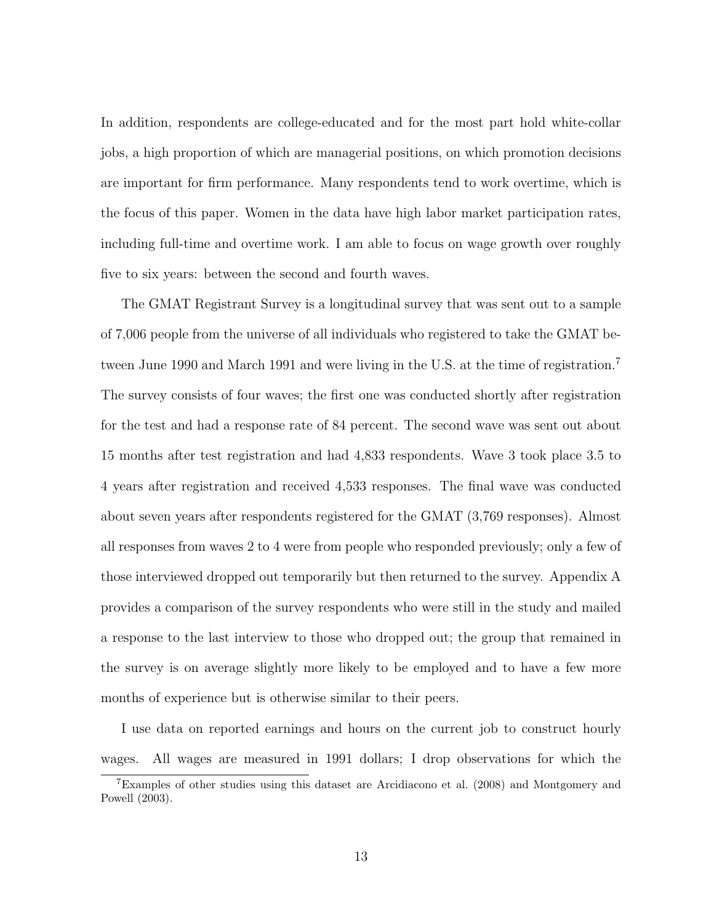In addition, respondents are college-educated and for the most part hold white-collar jobs, a high proportion of which are managerial positions, on which promotion decisions are important for firm performance. Many respondents tend to work overtime, which is the focus of this paper. Women in the data have high labor market participation rates, including full-time and overtime work. I am able to focus on wage growth over roughly five to six years: between the second and fourth waves.

The GMAT Registrant Survey is a longitudinal survey that was sent out to a sample of 7,006 people from the universe of all individuals who registered to take the GMAT between June 1990 and March 1991 and were living in the U.S. at the time of registration.<sup>7</sup> The survey consists of four waves; the first one was conducted shortly after registration for the test and had a response rate of 84 percent. The second wave was sent out about 15 months after test registration and had 4,833 respondents. Wave 3 took place 3.5 to 4 years after registration and received 4,533 responses. The final wave was conducted about seven years after respondents registered for the GMAT (3,769 responses). Almost all responses from waves 2 to 4 were from people who responded previously; only a few of those interviewed dropped out temporarily but then returned to the survey. Appendix A provides a comparison of the survey respondents who were still in the study and mailed a response to the last interview to those who dropped out; the group that remained in the survey is on average slightly more likely to be employed and to have a few more months of experience but is otherwise similar to their peers.

I use data on reported earnings and hours on the current job to construct hourly wages. All wages are measured in 1991 dollars; I drop observations for which the

<sup>7</sup>Examples of other studies using this dataset are Arcidiacono et al. (2008) and Montgomery and Powell (2003).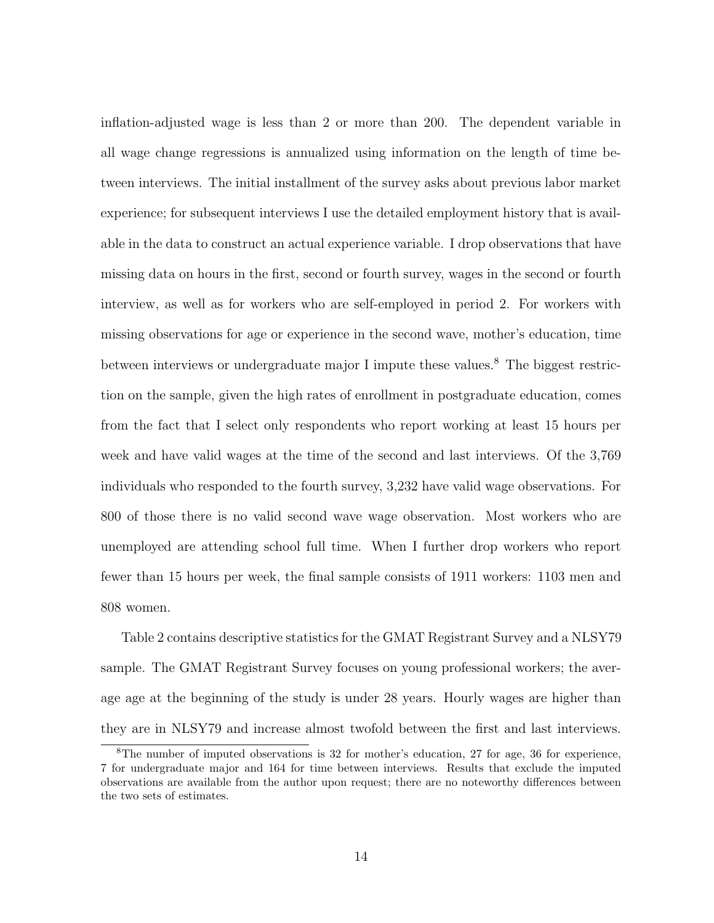inflation-adjusted wage is less than 2 or more than 200. The dependent variable in all wage change regressions is annualized using information on the length of time between interviews. The initial installment of the survey asks about previous labor market experience; for subsequent interviews I use the detailed employment history that is available in the data to construct an actual experience variable. I drop observations that have missing data on hours in the first, second or fourth survey, wages in the second or fourth interview, as well as for workers who are self-employed in period 2. For workers with missing observations for age or experience in the second wave, mother's education, time between interviews or undergraduate major I impute these values.<sup>8</sup> The biggest restriction on the sample, given the high rates of enrollment in postgraduate education, comes from the fact that I select only respondents who report working at least 15 hours per week and have valid wages at the time of the second and last interviews. Of the 3,769 individuals who responded to the fourth survey, 3,232 have valid wage observations. For 800 of those there is no valid second wave wage observation. Most workers who are unemployed are attending school full time. When I further drop workers who report fewer than 15 hours per week, the final sample consists of 1911 workers: 1103 men and 808 women.

Table 2 contains descriptive statistics for the GMAT Registrant Survey and a NLSY79 sample. The GMAT Registrant Survey focuses on young professional workers; the average age at the beginning of the study is under 28 years. Hourly wages are higher than they are in NLSY79 and increase almost twofold between the first and last interviews.

<sup>8</sup>The number of imputed observations is 32 for mother's education, 27 for age, 36 for experience, 7 for undergraduate major and 164 for time between interviews. Results that exclude the imputed observations are available from the author upon request; there are no noteworthy differences between the two sets of estimates.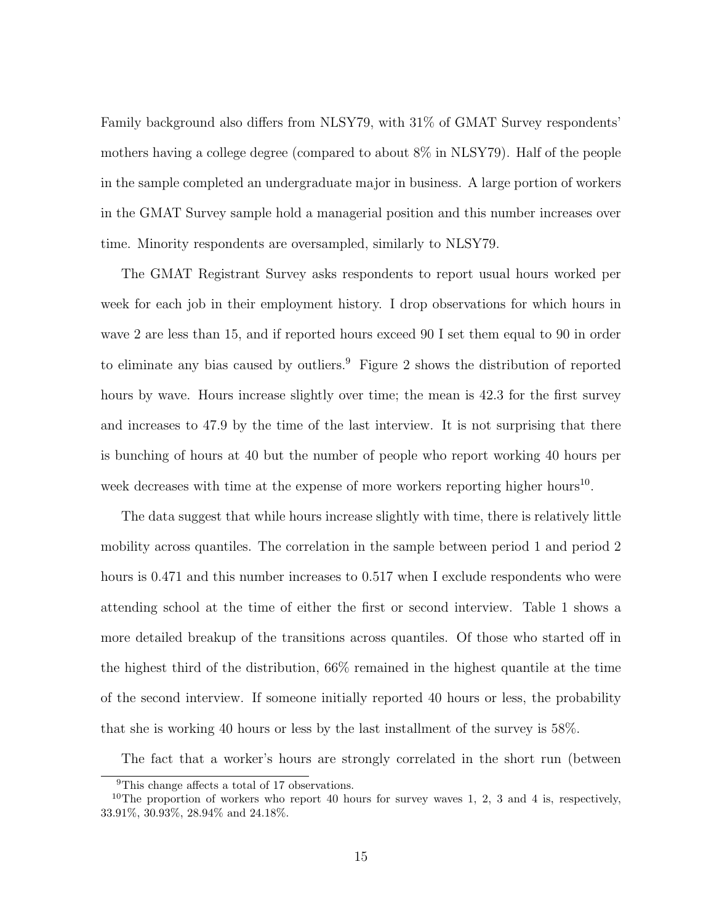Family background also differs from NLSY79, with 31% of GMAT Survey respondents' mothers having a college degree (compared to about 8% in NLSY79). Half of the people in the sample completed an undergraduate major in business. A large portion of workers in the GMAT Survey sample hold a managerial position and this number increases over time. Minority respondents are oversampled, similarly to NLSY79.

The GMAT Registrant Survey asks respondents to report usual hours worked per week for each job in their employment history. I drop observations for which hours in wave 2 are less than 15, and if reported hours exceed 90 I set them equal to 90 in order to eliminate any bias caused by outliers.<sup>9</sup> Figure 2 shows the distribution of reported hours by wave. Hours increase slightly over time; the mean is 42.3 for the first survey and increases to 47.9 by the time of the last interview. It is not surprising that there is bunching of hours at 40 but the number of people who report working 40 hours per week decreases with time at the expense of more workers reporting higher hours<sup>10</sup>.

The data suggest that while hours increase slightly with time, there is relatively little mobility across quantiles. The correlation in the sample between period 1 and period 2 hours is 0.471 and this number increases to 0.517 when I exclude respondents who were attending school at the time of either the first or second interview. Table 1 shows a more detailed breakup of the transitions across quantiles. Of those who started off in the highest third of the distribution,  $66\%$  remained in the highest quantile at the time of the second interview. If someone initially reported 40 hours or less, the probability that she is working 40 hours or less by the last installment of the survey is 58%.

The fact that a worker's hours are strongly correlated in the short run (between

<sup>9</sup>This change affects a total of 17 observations.

<sup>&</sup>lt;sup>10</sup>The proportion of workers who report 40 hours for survey waves 1, 2, 3 and 4 is, respectively, 33.91%, 30.93%, 28.94% and 24.18%.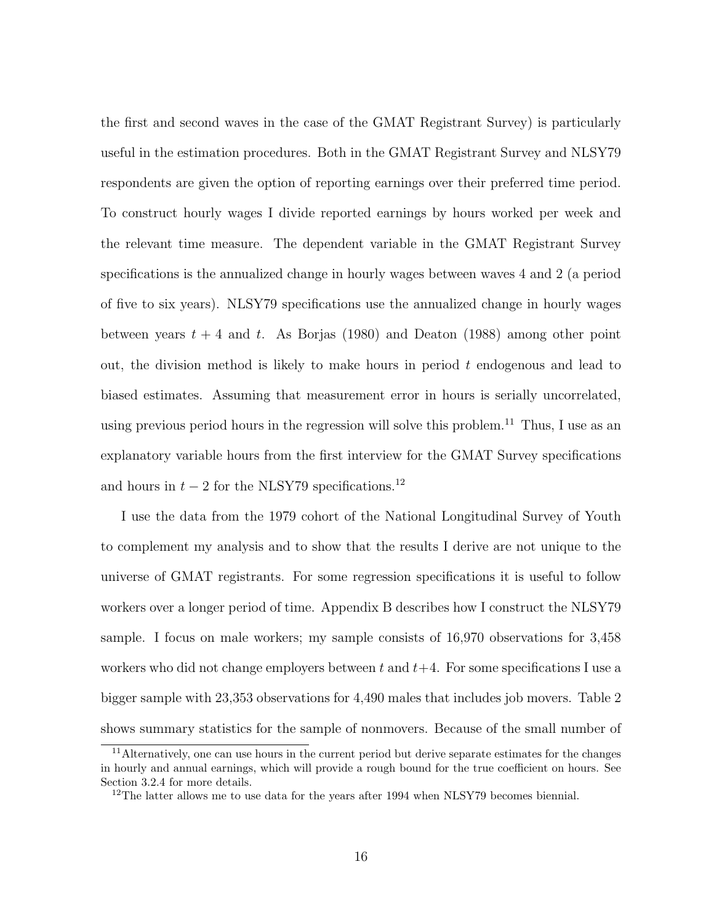the first and second waves in the case of the GMAT Registrant Survey) is particularly useful in the estimation procedures. Both in the GMAT Registrant Survey and NLSY79 respondents are given the option of reporting earnings over their preferred time period. To construct hourly wages I divide reported earnings by hours worked per week and the relevant time measure. The dependent variable in the GMAT Registrant Survey specifications is the annualized change in hourly wages between waves 4 and 2 (a period of five to six years). NLSY79 specifications use the annualized change in hourly wages between years  $t + 4$  and t. As Borjas (1980) and Deaton (1988) among other point out, the division method is likely to make hours in period  $t$  endogenous and lead to biased estimates. Assuming that measurement error in hours is serially uncorrelated, using previous period hours in the regression will solve this problem.<sup>11</sup> Thus, I use as an explanatory variable hours from the first interview for the GMAT Survey specifications and hours in  $t - 2$  for the NLSY79 specifications.<sup>12</sup>

I use the data from the 1979 cohort of the National Longitudinal Survey of Youth to complement my analysis and to show that the results I derive are not unique to the universe of GMAT registrants. For some regression specifications it is useful to follow workers over a longer period of time. Appendix B describes how I construct the NLSY79 sample. I focus on male workers; my sample consists of 16,970 observations for 3,458 workers who did not change employers between t and  $t+4$ . For some specifications I use a bigger sample with 23,353 observations for 4,490 males that includes job movers. Table 2 shows summary statistics for the sample of nonmovers. Because of the small number of

<sup>11</sup>Alternatively, one can use hours in the current period but derive separate estimates for the changes in hourly and annual earnings, which will provide a rough bound for the true coefficient on hours. See Section 3.2.4 for more details.

<sup>&</sup>lt;sup>12</sup>The latter allows me to use data for the years after  $1994$  when NLSY79 becomes biennial.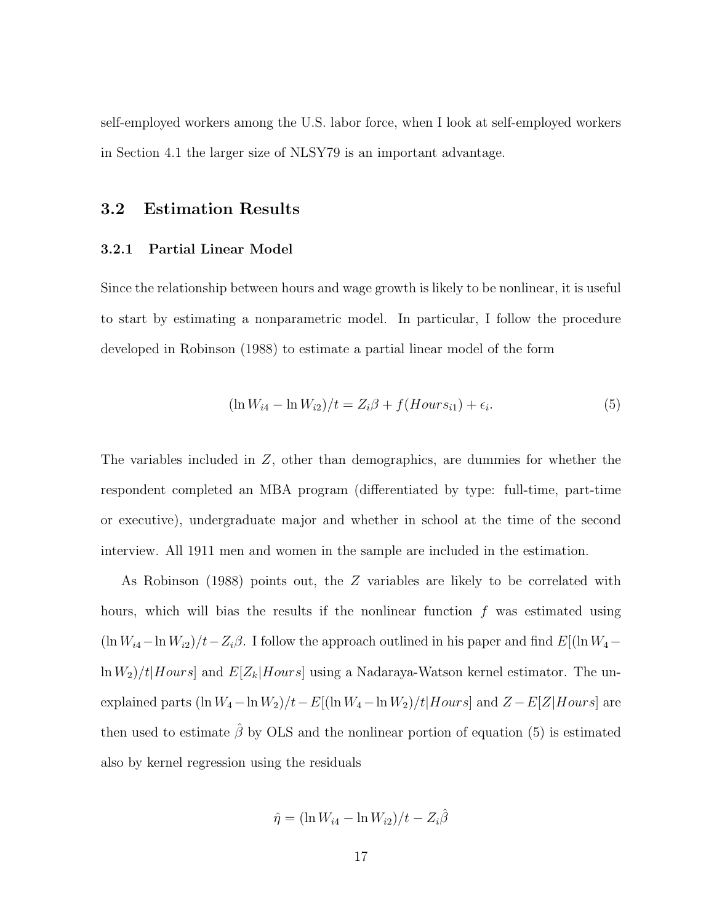self-employed workers among the U.S. labor force, when I look at self-employed workers in Section 4.1 the larger size of NLSY79 is an important advantage.

#### 3.2 Estimation Results

#### 3.2.1 Partial Linear Model

Since the relationship between hours and wage growth is likely to be nonlinear, it is useful to start by estimating a nonparametric model. In particular, I follow the procedure developed in Robinson (1988) to estimate a partial linear model of the form

$$
(\ln W_{i4} - \ln W_{i2})/t = Z_i \beta + f(Hours_{i1}) + \epsilon_i.
$$
 (5)

The variables included in Z, other than demographics, are dummies for whether the respondent completed an MBA program (differentiated by type: full-time, part-time or executive), undergraduate major and whether in school at the time of the second interview. All 1911 men and women in the sample are included in the estimation.

As Robinson (1988) points out, the Z variables are likely to be correlated with hours, which will bias the results if the nonlinear function  $f$  was estimated using (ln  $W_{i4}$  – ln  $W_{i2}$ )/t –  $Z_i$ β. I follow the approach outlined in his paper and find  $E[(\ln W_4 - \ln W_4)$  $\ln W_2/t|Hours|$  and  $E[Z_k|Hours]$  using a Nadaraya-Watson kernel estimator. The unexplained parts  $(\ln W_4 - \ln W_2)/t - E[(\ln W_4 - \ln W_2)/t]$  Hours] and  $Z - E[Z]$  Hours] are then used to estimate  $\hat{\beta}$  by OLS and the nonlinear portion of equation (5) is estimated also by kernel regression using the residuals

$$
\hat{\eta} = (\ln W_{i4} - \ln W_{i2})/t - Z_i\hat{\beta}
$$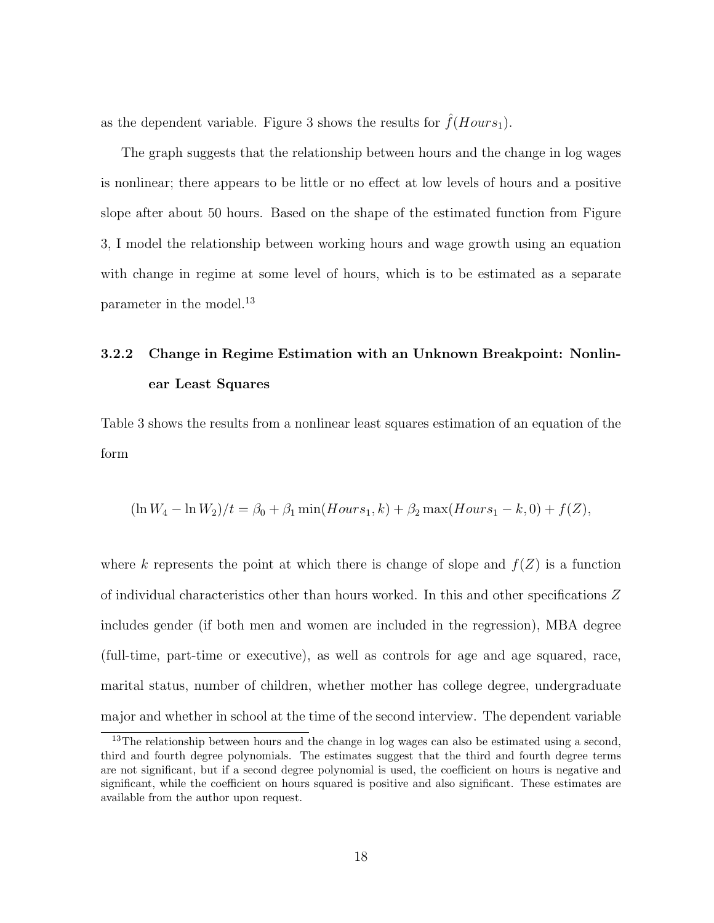as the dependent variable. Figure 3 shows the results for  $\hat{f}(Hours_1)$ .

The graph suggests that the relationship between hours and the change in log wages is nonlinear; there appears to be little or no effect at low levels of hours and a positive slope after about 50 hours. Based on the shape of the estimated function from Figure 3, I model the relationship between working hours and wage growth using an equation with change in regime at some level of hours, which is to be estimated as a separate parameter in the model.<sup>13</sup>

## 3.2.2 Change in Regime Estimation with an Unknown Breakpoint: Nonlinear Least Squares

Table 3 shows the results from a nonlinear least squares estimation of an equation of the form

$$
(\ln W_4 - \ln W_2)/t = \beta_0 + \beta_1 \min(Hours_1, k) + \beta_2 \max(Hours_1 - k, 0) + f(Z),
$$

where k represents the point at which there is change of slope and  $f(Z)$  is a function of individual characteristics other than hours worked. In this and other specifications Z includes gender (if both men and women are included in the regression), MBA degree (full-time, part-time or executive), as well as controls for age and age squared, race, marital status, number of children, whether mother has college degree, undergraduate major and whether in school at the time of the second interview. The dependent variable

<sup>&</sup>lt;sup>13</sup>The relationship between hours and the change in log wages can also be estimated using a second, third and fourth degree polynomials. The estimates suggest that the third and fourth degree terms are not significant, but if a second degree polynomial is used, the coefficient on hours is negative and significant, while the coefficient on hours squared is positive and also significant. These estimates are available from the author upon request.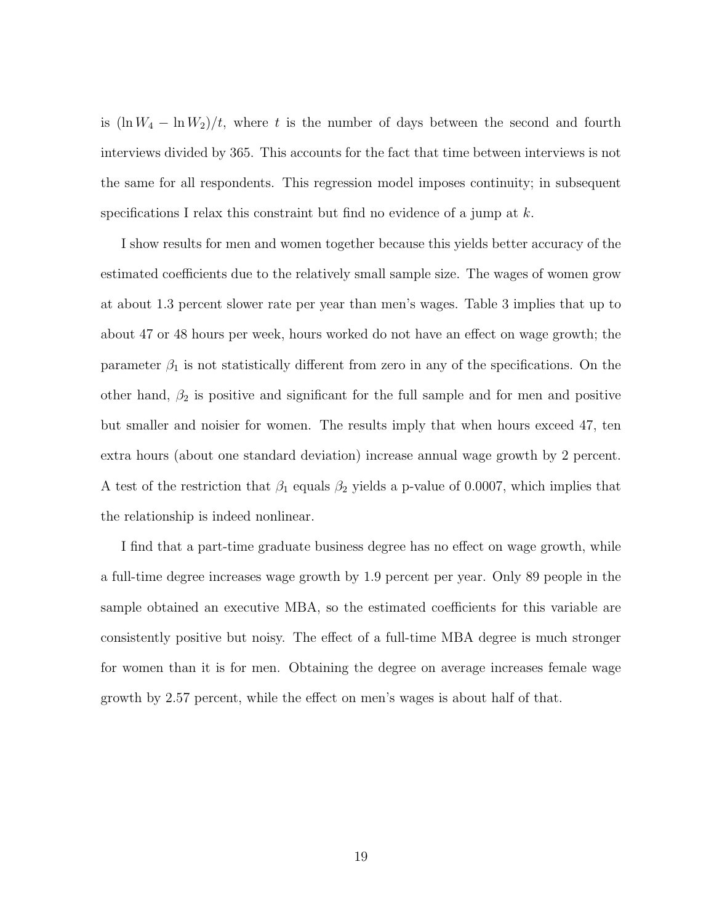is  $(\ln W_4 - \ln W_2)/t$ , where t is the number of days between the second and fourth interviews divided by 365. This accounts for the fact that time between interviews is not the same for all respondents. This regression model imposes continuity; in subsequent specifications I relax this constraint but find no evidence of a jump at  $k$ .

I show results for men and women together because this yields better accuracy of the estimated coefficients due to the relatively small sample size. The wages of women grow at about 1.3 percent slower rate per year than men's wages. Table 3 implies that up to about 47 or 48 hours per week, hours worked do not have an effect on wage growth; the parameter  $\beta_1$  is not statistically different from zero in any of the specifications. On the other hand,  $\beta_2$  is positive and significant for the full sample and for men and positive but smaller and noisier for women. The results imply that when hours exceed 47, ten extra hours (about one standard deviation) increase annual wage growth by 2 percent. A test of the restriction that  $\beta_1$  equals  $\beta_2$  yields a p-value of 0.0007, which implies that the relationship is indeed nonlinear.

I find that a part-time graduate business degree has no effect on wage growth, while a full-time degree increases wage growth by 1.9 percent per year. Only 89 people in the sample obtained an executive MBA, so the estimated coefficients for this variable are consistently positive but noisy. The effect of a full-time MBA degree is much stronger for women than it is for men. Obtaining the degree on average increases female wage growth by 2.57 percent, while the effect on men's wages is about half of that.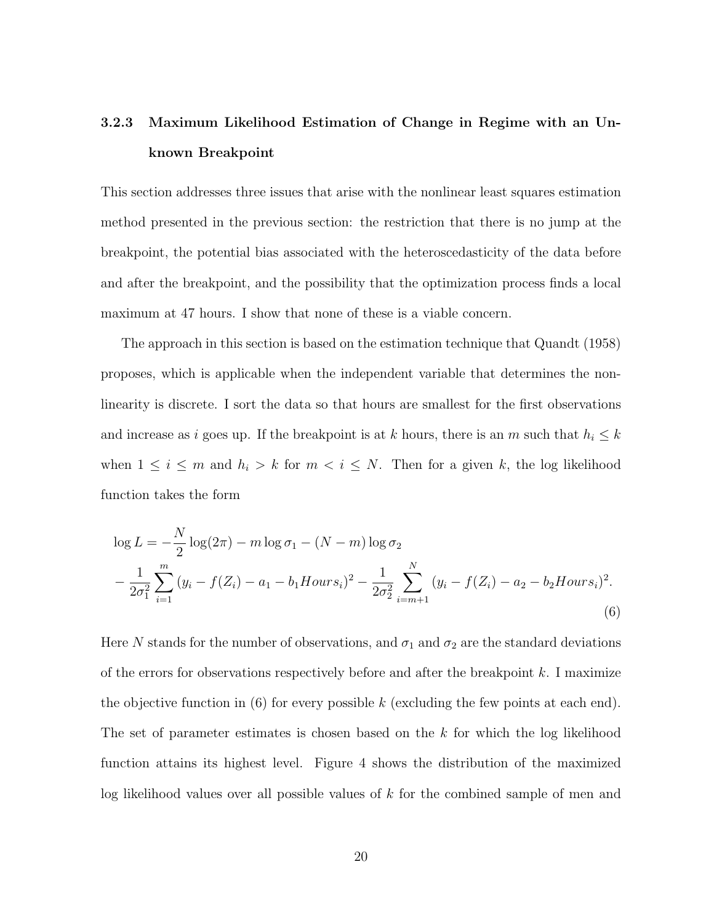## 3.2.3 Maximum Likelihood Estimation of Change in Regime with an Unknown Breakpoint

This section addresses three issues that arise with the nonlinear least squares estimation method presented in the previous section: the restriction that there is no jump at the breakpoint, the potential bias associated with the heteroscedasticity of the data before and after the breakpoint, and the possibility that the optimization process finds a local maximum at 47 hours. I show that none of these is a viable concern.

The approach in this section is based on the estimation technique that Quandt (1958) proposes, which is applicable when the independent variable that determines the nonlinearity is discrete. I sort the data so that hours are smallest for the first observations and increase as i goes up. If the breakpoint is at k hours, there is an m such that  $h_i \leq k$ when  $1 \leq i \leq m$  and  $h_i > k$  for  $m < i \leq N$ . Then for a given k, the log likelihood function takes the form

$$
\log L = -\frac{N}{2}\log(2\pi) - m\log\sigma_1 - (N - m)\log\sigma_2
$$
  

$$
-\frac{1}{2\sigma_1^2}\sum_{i=1}^m (y_i - f(Z_i) - a_1 - b_1Hours_i)^2 - \frac{1}{2\sigma_2^2}\sum_{i=m+1}^N (y_i - f(Z_i) - a_2 - b_2Hours_i)^2.
$$
  
(6)

Here N stands for the number of observations, and  $\sigma_1$  and  $\sigma_2$  are the standard deviations of the errors for observations respectively before and after the breakpoint  $k$ . I maximize the objective function in  $(6)$  for every possible k (excluding the few points at each end). The set of parameter estimates is chosen based on the  $k$  for which the log likelihood function attains its highest level. Figure 4 shows the distribution of the maximized log likelihood values over all possible values of k for the combined sample of men and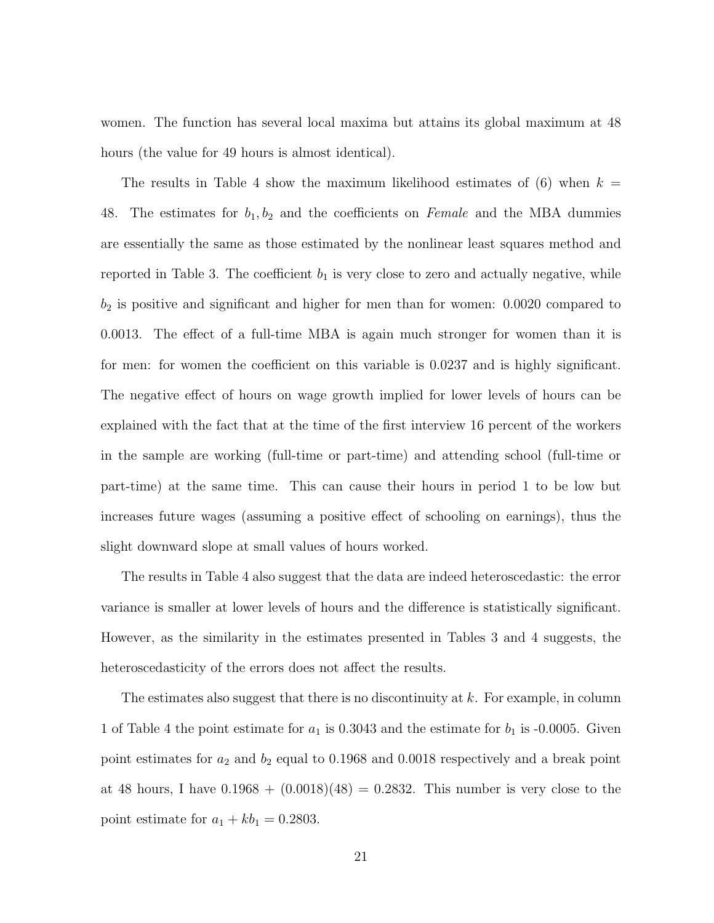women. The function has several local maxima but attains its global maximum at 48 hours (the value for 49 hours is almost identical).

The results in Table 4 show the maximum likelihood estimates of (6) when  $k =$ 48. The estimates for  $b_1, b_2$  and the coefficients on *Female* and the MBA dummies are essentially the same as those estimated by the nonlinear least squares method and reported in Table 3. The coefficient  $b_1$  is very close to zero and actually negative, while  $b_2$  is positive and significant and higher for men than for women:  $0.0020$  compared to 0.0013. The effect of a full-time MBA is again much stronger for women than it is for men: for women the coefficient on this variable is 0.0237 and is highly significant. The negative effect of hours on wage growth implied for lower levels of hours can be explained with the fact that at the time of the first interview 16 percent of the workers in the sample are working (full-time or part-time) and attending school (full-time or part-time) at the same time. This can cause their hours in period 1 to be low but increases future wages (assuming a positive effect of schooling on earnings), thus the slight downward slope at small values of hours worked.

The results in Table 4 also suggest that the data are indeed heteroscedastic: the error variance is smaller at lower levels of hours and the difference is statistically significant. However, as the similarity in the estimates presented in Tables 3 and 4 suggests, the heteroscedasticity of the errors does not affect the results.

The estimates also suggest that there is no discontinuity at  $k$ . For example, in column 1 of Table 4 the point estimate for  $a_1$  is 0.3043 and the estimate for  $b_1$  is -0.0005. Given point estimates for  $a_2$  and  $b_2$  equal to 0.1968 and 0.0018 respectively and a break point at 48 hours, I have  $0.1968 + (0.0018)(48) = 0.2832$ . This number is very close to the point estimate for  $a_1 + kb_1 = 0.2803$ .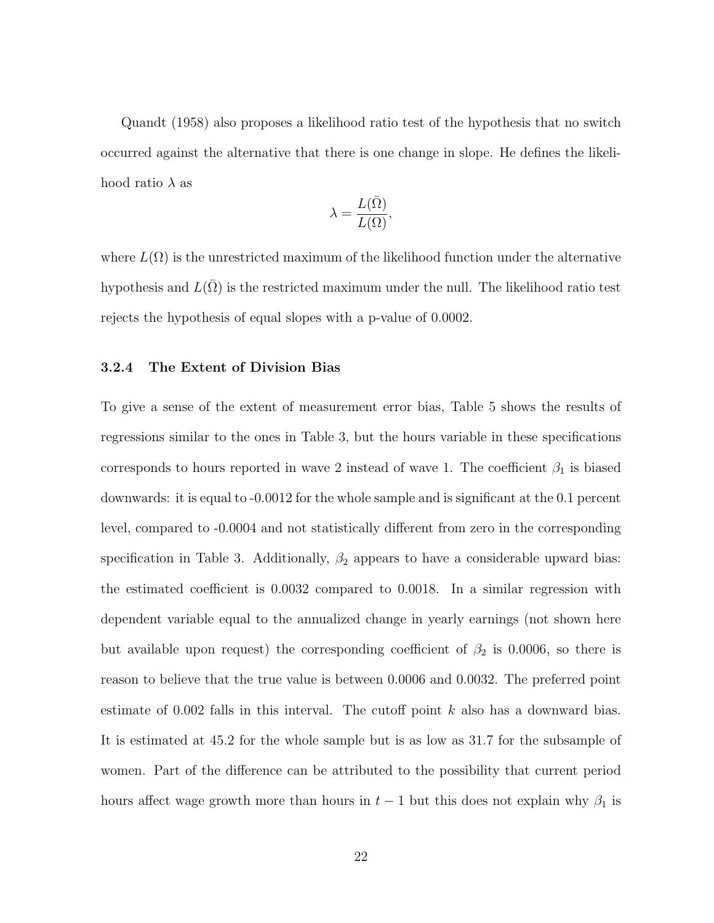Quandt (1958) also proposes a likelihood ratio test of the hypothesis that no switch occurred against the alternative that there is one change in slope. He defines the likelihood ratio  $\lambda$  as

$$
\lambda = \frac{L(\bar{\Omega})}{L(\Omega)},
$$

where  $L(\Omega)$  is the unrestricted maximum of the likelihood function under the alternative hypothesis and  $L(\overline{\Omega})$  is the restricted maximum under the null. The likelihood ratio test rejects the hypothesis of equal slopes with a p-value of 0.0002.

#### 3.2.4 The Extent of Division Bias

To give a sense of the extent of measurement error bias, Table 5 shows the results of regressions similar to the ones in Table 3, but the hours variable in these specifications corresponds to hours reported in wave 2 instead of wave 1. The coefficient  $\beta_1$  is biased downwards: it is equal to -0.0012 for the whole sample and is significant at the 0.1 percent level, compared to -0.0004 and not statistically different from zero in the corresponding specification in Table 3. Additionally,  $\beta_2$  appears to have a considerable upward bias: the estimated coefficient is 0.0032 compared to 0.0018. In a similar regression with dependent variable equal to the annualized change in yearly earnings (not shown here but available upon request) the corresponding coefficient of  $\beta_2$  is 0.0006, so there is reason to believe that the true value is between 0.0006 and 0.0032. The preferred point estimate of  $0.002$  falls in this interval. The cutoff point k also has a downward bias. It is estimated at 45.2 for the whole sample but is as low as 31.7 for the subsample of women. Part of the difference can be attributed to the possibility that current period hours affect wage growth more than hours in  $t-1$  but this does not explain why  $\beta_1$  is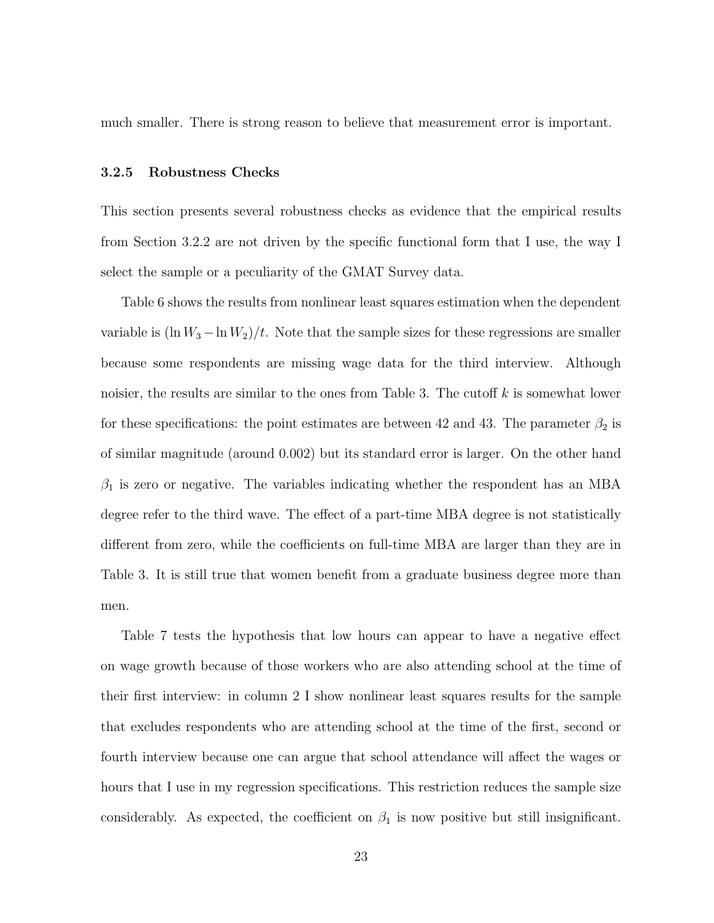much smaller. There is strong reason to believe that measurement error is important.

#### 3.2.5 Robustness Checks

This section presents several robustness checks as evidence that the empirical results from Section 3.2.2 are not driven by the specific functional form that I use, the way I select the sample or a peculiarity of the GMAT Survey data.

Table 6 shows the results from nonlinear least squares estimation when the dependent variable is  $(\ln W_3 - \ln W_2)/t$ . Note that the sample sizes for these regressions are smaller because some respondents are missing wage data for the third interview. Although noisier, the results are similar to the ones from Table 3. The cutoff  $k$  is somewhat lower for these specifications: the point estimates are between 42 and 43. The parameter  $\beta_2$  is of similar magnitude (around 0.002) but its standard error is larger. On the other hand  $\beta_1$  is zero or negative. The variables indicating whether the respondent has an MBA degree refer to the third wave. The effect of a part-time MBA degree is not statistically different from zero, while the coefficients on full-time MBA are larger than they are in Table 3. It is still true that women benefit from a graduate business degree more than men.

Table 7 tests the hypothesis that low hours can appear to have a negative effect on wage growth because of those workers who are also attending school at the time of their first interview: in column 2 I show nonlinear least squares results for the sample that excludes respondents who are attending school at the time of the first, second or fourth interview because one can argue that school attendance will affect the wages or hours that I use in my regression specifications. This restriction reduces the sample size considerably. As expected, the coefficient on  $\beta_1$  is now positive but still insignificant.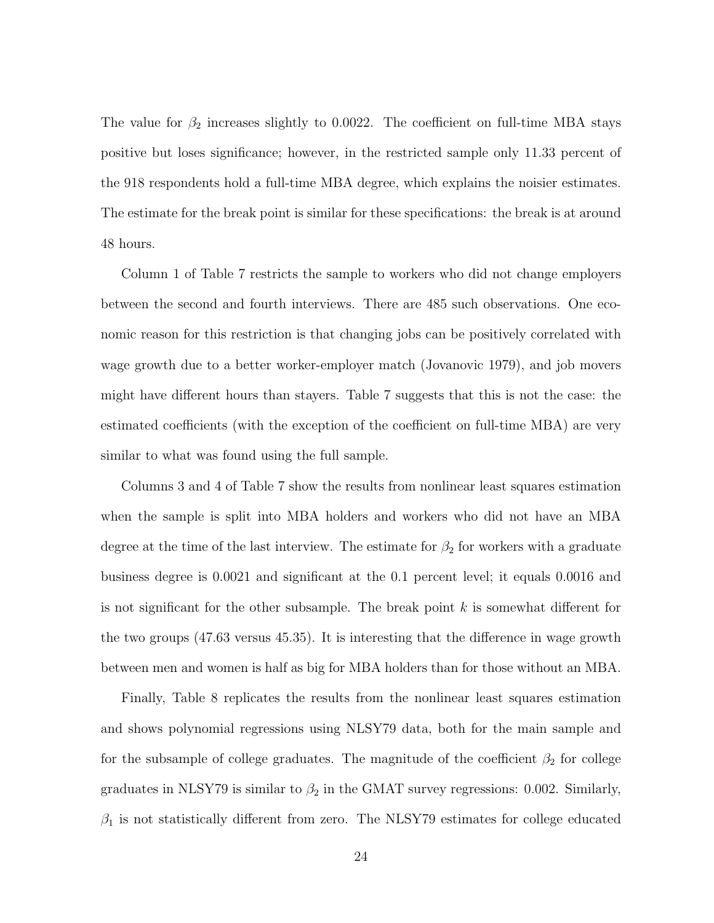The value for  $\beta_2$  increases slightly to 0.0022. The coefficient on full-time MBA stays positive but loses significance; however, in the restricted sample only 11.33 percent of the 918 respondents hold a full-time MBA degree, which explains the noisier estimates. The estimate for the break point is similar for these specifications: the break is at around 48 hours.

Column 1 of Table 7 restricts the sample to workers who did not change employers between the second and fourth interviews. There are 485 such observations. One economic reason for this restriction is that changing jobs can be positively correlated with wage growth due to a better worker-employer match (Jovanovic 1979), and job movers might have different hours than stayers. Table 7 suggests that this is not the case: the estimated coefficients (with the exception of the coefficient on full-time MBA) are very similar to what was found using the full sample.

Columns 3 and 4 of Table 7 show the results from nonlinear least squares estimation when the sample is split into MBA holders and workers who did not have an MBA degree at the time of the last interview. The estimate for  $\beta_2$  for workers with a graduate business degree is 0.0021 and significant at the 0.1 percent level; it equals 0.0016 and is not significant for the other subsample. The break point  $k$  is somewhat different for the two groups (47.63 versus 45.35). It is interesting that the difference in wage growth between men and women is half as big for MBA holders than for those without an MBA.

Finally, Table 8 replicates the results from the nonlinear least squares estimation and shows polynomial regressions using NLSY79 data, both for the main sample and for the subsample of college graduates. The magnitude of the coefficient  $\beta_2$  for college graduates in NLSY79 is similar to  $\beta_2$  in the GMAT survey regressions: 0.002. Similarly,  $\beta_1$  is not statistically different from zero. The NLSY79 estimates for college educated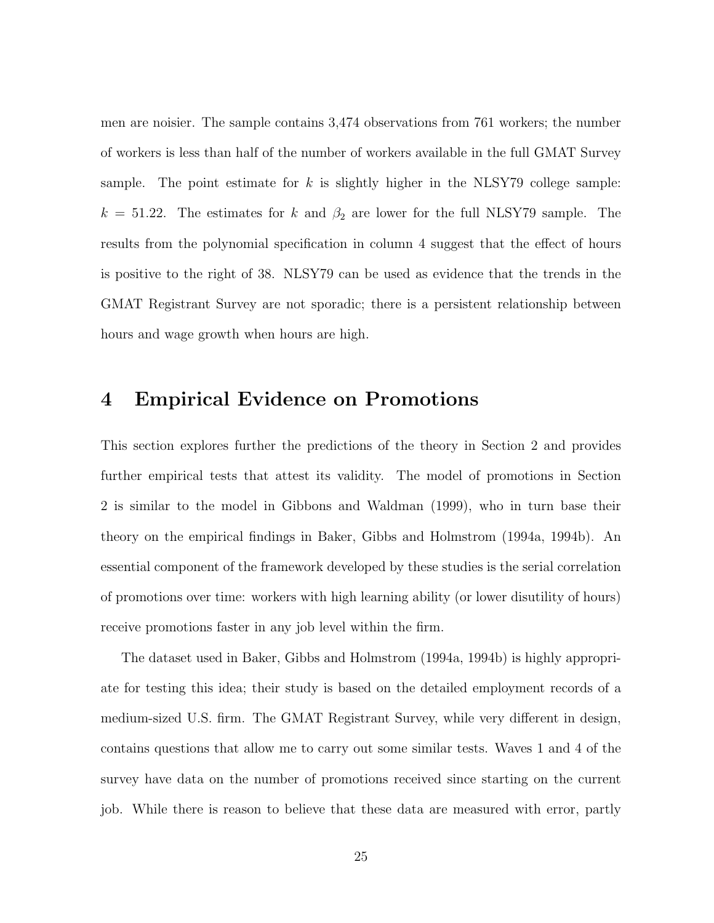men are noisier. The sample contains 3,474 observations from 761 workers; the number of workers is less than half of the number of workers available in the full GMAT Survey sample. The point estimate for  $k$  is slightly higher in the NLSY79 college sample:  $k = 51.22$ . The estimates for k and  $\beta_2$  are lower for the full NLSY79 sample. The results from the polynomial specification in column 4 suggest that the effect of hours is positive to the right of 38. NLSY79 can be used as evidence that the trends in the GMAT Registrant Survey are not sporadic; there is a persistent relationship between hours and wage growth when hours are high.

### 4 Empirical Evidence on Promotions

This section explores further the predictions of the theory in Section 2 and provides further empirical tests that attest its validity. The model of promotions in Section 2 is similar to the model in Gibbons and Waldman (1999), who in turn base their theory on the empirical findings in Baker, Gibbs and Holmstrom (1994a, 1994b). An essential component of the framework developed by these studies is the serial correlation of promotions over time: workers with high learning ability (or lower disutility of hours) receive promotions faster in any job level within the firm.

The dataset used in Baker, Gibbs and Holmstrom (1994a, 1994b) is highly appropriate for testing this idea; their study is based on the detailed employment records of a medium-sized U.S. firm. The GMAT Registrant Survey, while very different in design, contains questions that allow me to carry out some similar tests. Waves 1 and 4 of the survey have data on the number of promotions received since starting on the current job. While there is reason to believe that these data are measured with error, partly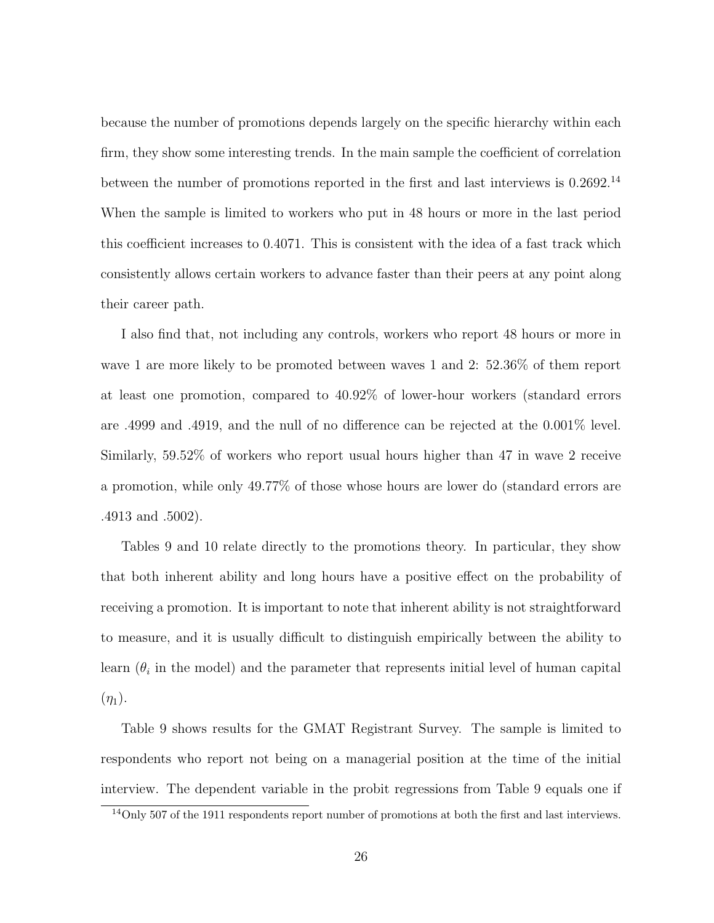because the number of promotions depends largely on the specific hierarchy within each firm, they show some interesting trends. In the main sample the coefficient of correlation between the number of promotions reported in the first and last interviews is 0.2692.<sup>14</sup> When the sample is limited to workers who put in 48 hours or more in the last period this coefficient increases to 0.4071. This is consistent with the idea of a fast track which consistently allows certain workers to advance faster than their peers at any point along their career path.

I also find that, not including any controls, workers who report 48 hours or more in wave 1 are more likely to be promoted between waves 1 and 2: 52.36% of them report at least one promotion, compared to 40.92% of lower-hour workers (standard errors are .4999 and .4919, and the null of no difference can be rejected at the 0.001% level. Similarly, 59.52% of workers who report usual hours higher than 47 in wave 2 receive a promotion, while only 49.77% of those whose hours are lower do (standard errors are .4913 and .5002).

Tables 9 and 10 relate directly to the promotions theory. In particular, they show that both inherent ability and long hours have a positive effect on the probability of receiving a promotion. It is important to note that inherent ability is not straightforward to measure, and it is usually difficult to distinguish empirically between the ability to learn  $(\theta_i)$  in the model) and the parameter that represents initial level of human capital  $(\eta_1)$ .

Table 9 shows results for the GMAT Registrant Survey. The sample is limited to respondents who report not being on a managerial position at the time of the initial interview. The dependent variable in the probit regressions from Table 9 equals one if

<sup>14</sup>Only 507 of the 1911 respondents report number of promotions at both the first and last interviews.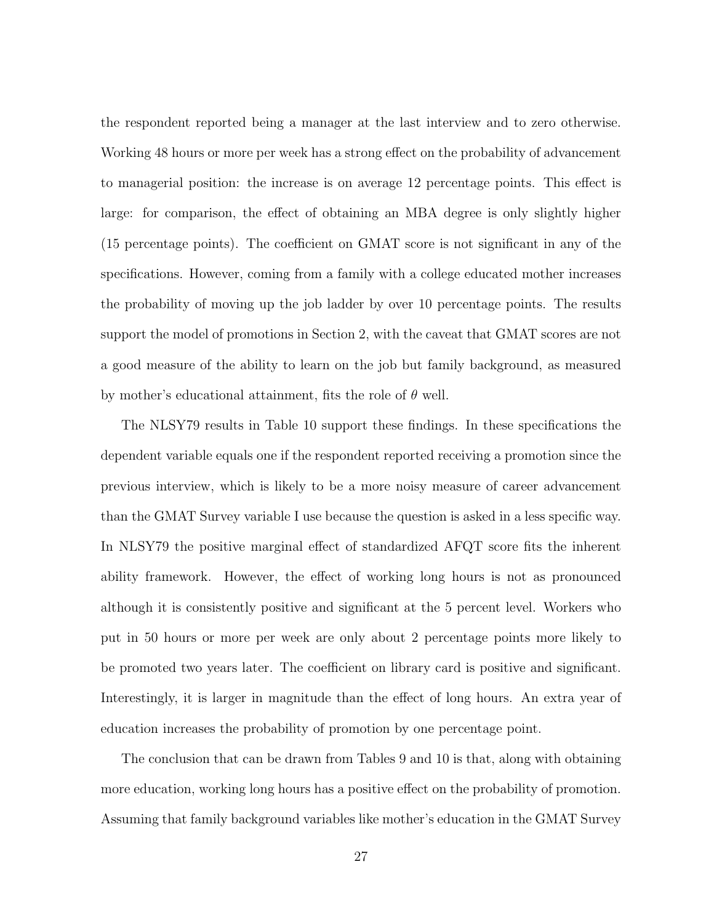the respondent reported being a manager at the last interview and to zero otherwise. Working 48 hours or more per week has a strong effect on the probability of advancement to managerial position: the increase is on average 12 percentage points. This effect is large: for comparison, the effect of obtaining an MBA degree is only slightly higher (15 percentage points). The coefficient on GMAT score is not significant in any of the specifications. However, coming from a family with a college educated mother increases the probability of moving up the job ladder by over 10 percentage points. The results support the model of promotions in Section 2, with the caveat that GMAT scores are not a good measure of the ability to learn on the job but family background, as measured by mother's educational attainment, fits the role of  $\theta$  well.

The NLSY79 results in Table 10 support these findings. In these specifications the dependent variable equals one if the respondent reported receiving a promotion since the previous interview, which is likely to be a more noisy measure of career advancement than the GMAT Survey variable I use because the question is asked in a less specific way. In NLSY79 the positive marginal effect of standardized AFQT score fits the inherent ability framework. However, the effect of working long hours is not as pronounced although it is consistently positive and significant at the 5 percent level. Workers who put in 50 hours or more per week are only about 2 percentage points more likely to be promoted two years later. The coefficient on library card is positive and significant. Interestingly, it is larger in magnitude than the effect of long hours. An extra year of education increases the probability of promotion by one percentage point.

The conclusion that can be drawn from Tables 9 and 10 is that, along with obtaining more education, working long hours has a positive effect on the probability of promotion. Assuming that family background variables like mother's education in the GMAT Survey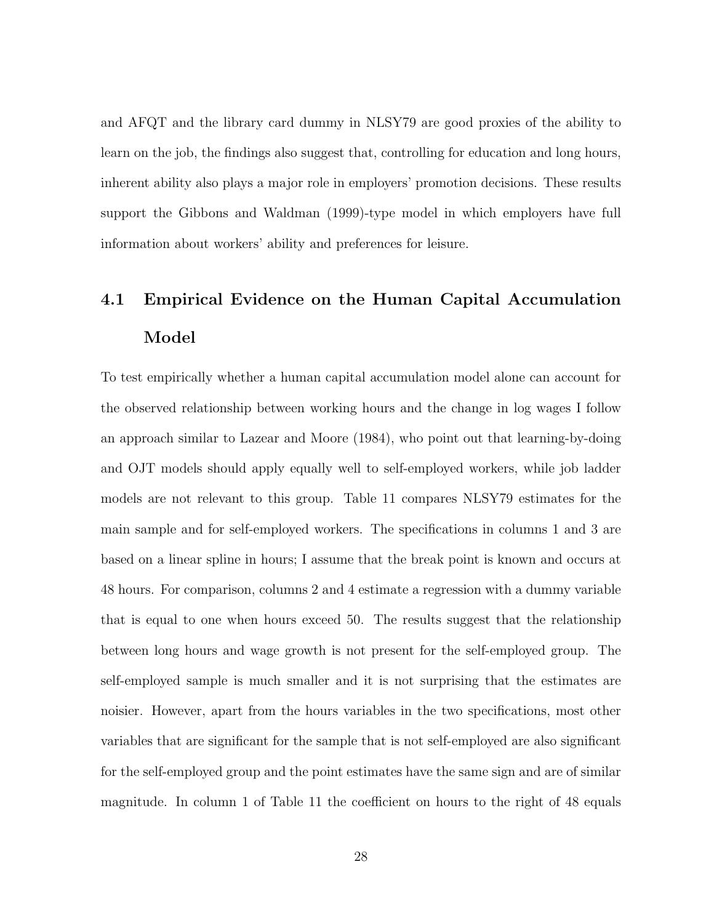and AFQT and the library card dummy in NLSY79 are good proxies of the ability to learn on the job, the findings also suggest that, controlling for education and long hours, inherent ability also plays a major role in employers' promotion decisions. These results support the Gibbons and Waldman (1999)-type model in which employers have full information about workers' ability and preferences for leisure.

## 4.1 Empirical Evidence on the Human Capital Accumulation Model

To test empirically whether a human capital accumulation model alone can account for the observed relationship between working hours and the change in log wages I follow an approach similar to Lazear and Moore (1984), who point out that learning-by-doing and OJT models should apply equally well to self-employed workers, while job ladder models are not relevant to this group. Table 11 compares NLSY79 estimates for the main sample and for self-employed workers. The specifications in columns 1 and 3 are based on a linear spline in hours; I assume that the break point is known and occurs at 48 hours. For comparison, columns 2 and 4 estimate a regression with a dummy variable that is equal to one when hours exceed 50. The results suggest that the relationship between long hours and wage growth is not present for the self-employed group. The self-employed sample is much smaller and it is not surprising that the estimates are noisier. However, apart from the hours variables in the two specifications, most other variables that are significant for the sample that is not self-employed are also significant for the self-employed group and the point estimates have the same sign and are of similar magnitude. In column 1 of Table 11 the coefficient on hours to the right of 48 equals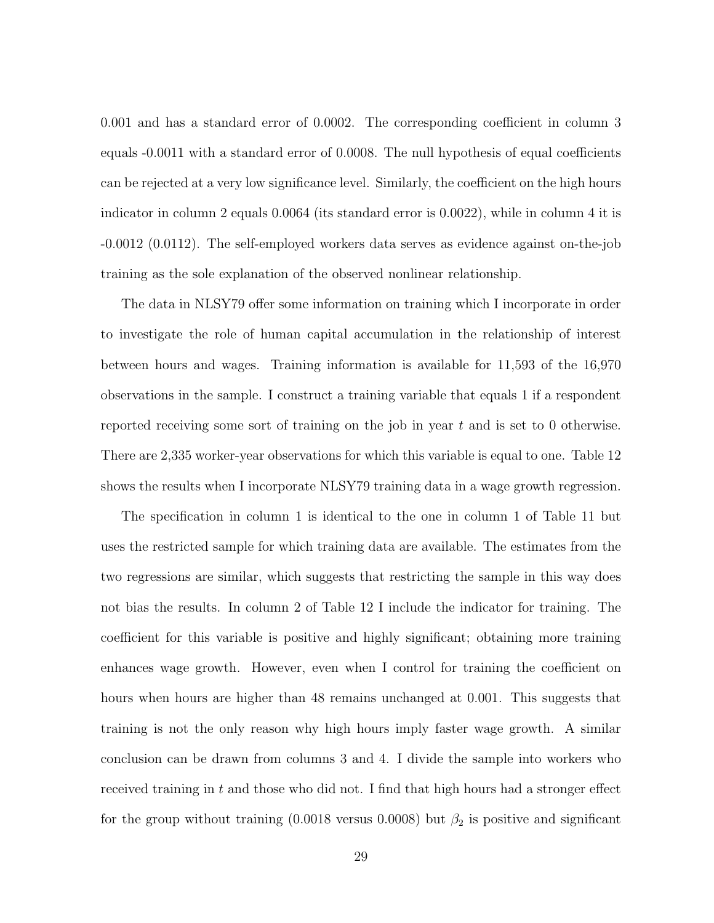0.001 and has a standard error of 0.0002. The corresponding coefficient in column 3 equals -0.0011 with a standard error of 0.0008. The null hypothesis of equal coefficients can be rejected at a very low significance level. Similarly, the coefficient on the high hours indicator in column 2 equals 0.0064 (its standard error is 0.0022), while in column 4 it is -0.0012 (0.0112). The self-employed workers data serves as evidence against on-the-job training as the sole explanation of the observed nonlinear relationship.

The data in NLSY79 offer some information on training which I incorporate in order to investigate the role of human capital accumulation in the relationship of interest between hours and wages. Training information is available for 11,593 of the 16,970 observations in the sample. I construct a training variable that equals 1 if a respondent reported receiving some sort of training on the job in year t and is set to 0 otherwise. There are 2,335 worker-year observations for which this variable is equal to one. Table 12 shows the results when I incorporate NLSY79 training data in a wage growth regression.

The specification in column 1 is identical to the one in column 1 of Table 11 but uses the restricted sample for which training data are available. The estimates from the two regressions are similar, which suggests that restricting the sample in this way does not bias the results. In column 2 of Table 12 I include the indicator for training. The coefficient for this variable is positive and highly significant; obtaining more training enhances wage growth. However, even when I control for training the coefficient on hours when hours are higher than 48 remains unchanged at 0.001. This suggests that training is not the only reason why high hours imply faster wage growth. A similar conclusion can be drawn from columns 3 and 4. I divide the sample into workers who received training in  $t$  and those who did not. I find that high hours had a stronger effect for the group without training (0.0018 versus 0.0008) but  $\beta_2$  is positive and significant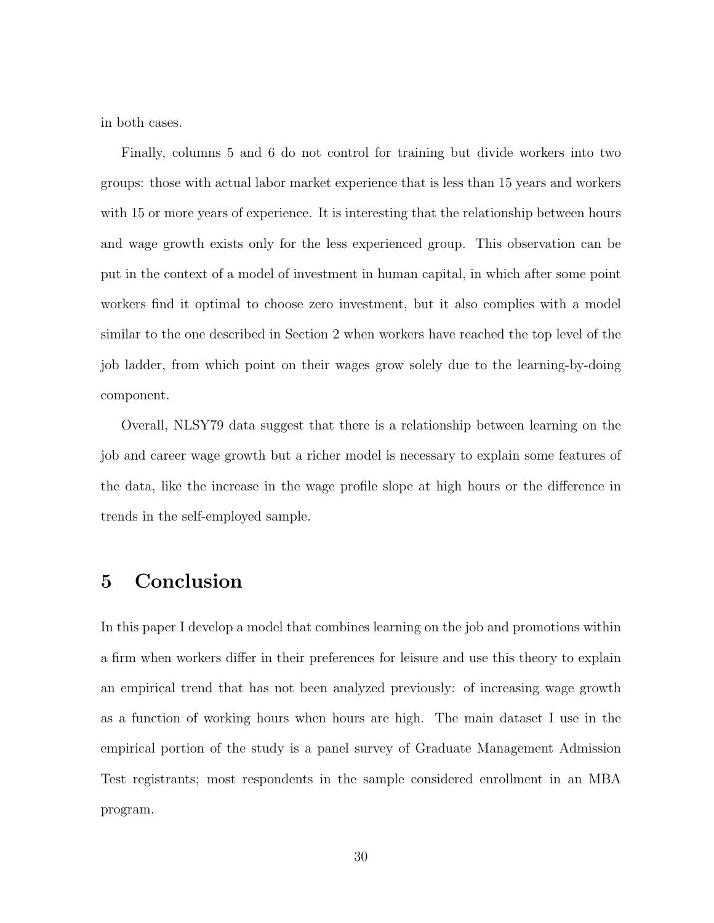in both cases.

Finally, columns 5 and 6 do not control for training but divide workers into two groups: those with actual labor market experience that is less than 15 years and workers with 15 or more years of experience. It is interesting that the relationship between hours and wage growth exists only for the less experienced group. This observation can be put in the context of a model of investment in human capital, in which after some point workers find it optimal to choose zero investment, but it also complies with a model similar to the one described in Section 2 when workers have reached the top level of the job ladder, from which point on their wages grow solely due to the learning-by-doing component.

Overall, NLSY79 data suggest that there is a relationship between learning on the job and career wage growth but a richer model is necessary to explain some features of the data, like the increase in the wage profile slope at high hours or the difference in trends in the self-employed sample.

### 5 Conclusion

In this paper I develop a model that combines learning on the job and promotions within a firm when workers differ in their preferences for leisure and use this theory to explain an empirical trend that has not been analyzed previously: of increasing wage growth as a function of working hours when hours are high. The main dataset I use in the empirical portion of the study is a panel survey of Graduate Management Admission Test registrants; most respondents in the sample considered enrollment in an MBA program.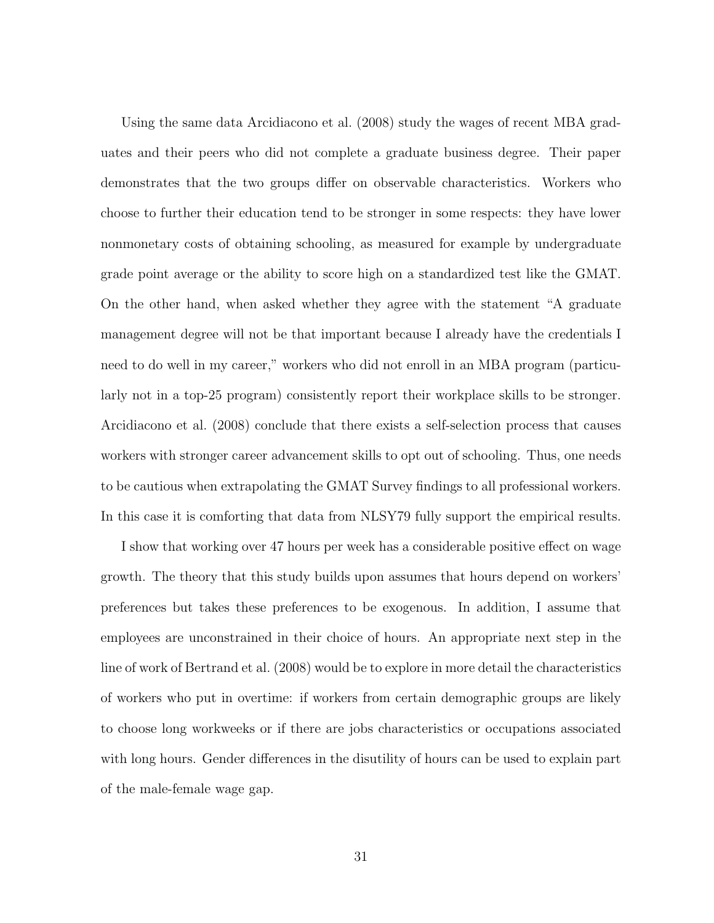Using the same data Arcidiacono et al. (2008) study the wages of recent MBA graduates and their peers who did not complete a graduate business degree. Their paper demonstrates that the two groups differ on observable characteristics. Workers who choose to further their education tend to be stronger in some respects: they have lower nonmonetary costs of obtaining schooling, as measured for example by undergraduate grade point average or the ability to score high on a standardized test like the GMAT. On the other hand, when asked whether they agree with the statement "A graduate management degree will not be that important because I already have the credentials I need to do well in my career," workers who did not enroll in an MBA program (particularly not in a top-25 program) consistently report their workplace skills to be stronger. Arcidiacono et al. (2008) conclude that there exists a self-selection process that causes workers with stronger career advancement skills to opt out of schooling. Thus, one needs to be cautious when extrapolating the GMAT Survey findings to all professional workers. In this case it is comforting that data from NLSY79 fully support the empirical results.

I show that working over 47 hours per week has a considerable positive effect on wage growth. The theory that this study builds upon assumes that hours depend on workers' preferences but takes these preferences to be exogenous. In addition, I assume that employees are unconstrained in their choice of hours. An appropriate next step in the line of work of Bertrand et al. (2008) would be to explore in more detail the characteristics of workers who put in overtime: if workers from certain demographic groups are likely to choose long workweeks or if there are jobs characteristics or occupations associated with long hours. Gender differences in the disutility of hours can be used to explain part of the male-female wage gap.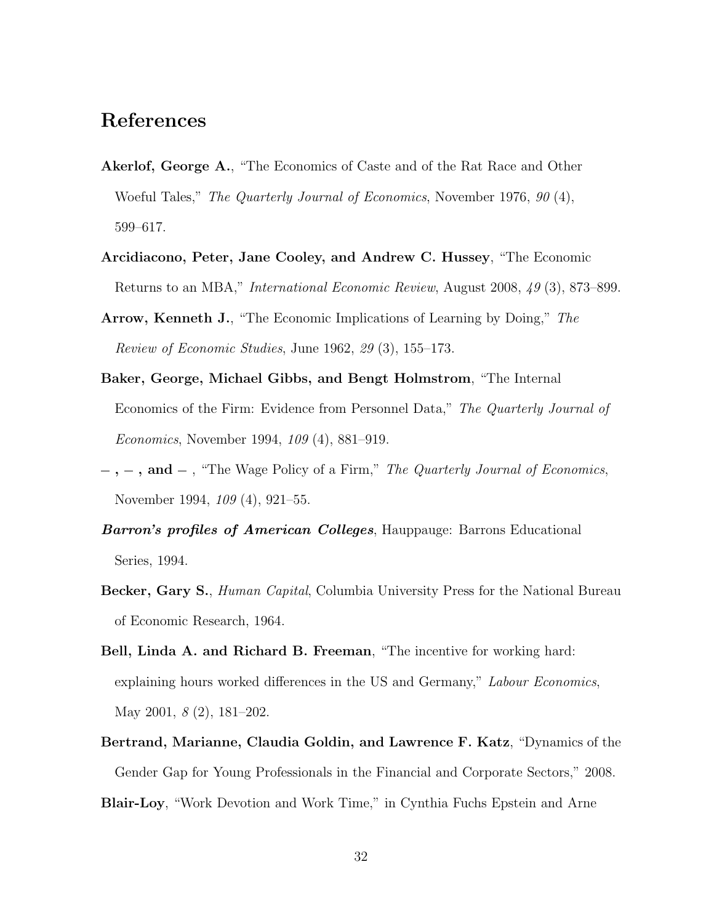### References

- Akerlof, George A., "The Economics of Caste and of the Rat Race and Other Woeful Tales," The Quarterly Journal of Economics, November 1976, 90 (4), 599–617.
- Arcidiacono, Peter, Jane Cooley, and Andrew C. Hussey, "The Economic Returns to an MBA," International Economic Review, August 2008, 49 (3), 873–899.
- Arrow, Kenneth J., "The Economic Implications of Learning by Doing," The Review of Economic Studies, June 1962, 29 (3), 155–173.
- Baker, George, Michael Gibbs, and Bengt Holmstrom, "The Internal Economics of the Firm: Evidence from Personnel Data," The Quarterly Journal of Economics, November 1994, 109 (4), 881–919.
- $-$ ,  $-$ , and  $-$ , "The Wage Policy of a Firm," The Quarterly Journal of Economics, November 1994, 109 (4), 921–55.
- **Barron's profiles of American Colleges, Hauppauge: Barrons Educational** Series, 1994.
- Becker, Gary S., *Human Capital*, Columbia University Press for the National Bureau of Economic Research, 1964.
- Bell, Linda A. and Richard B. Freeman, "The incentive for working hard: explaining hours worked differences in the US and Germany," Labour Economics, May 2001, 8 (2), 181–202.
- Bertrand, Marianne, Claudia Goldin, and Lawrence F. Katz, "Dynamics of the Gender Gap for Young Professionals in the Financial and Corporate Sectors," 2008.

Blair-Loy, "Work Devotion and Work Time," in Cynthia Fuchs Epstein and Arne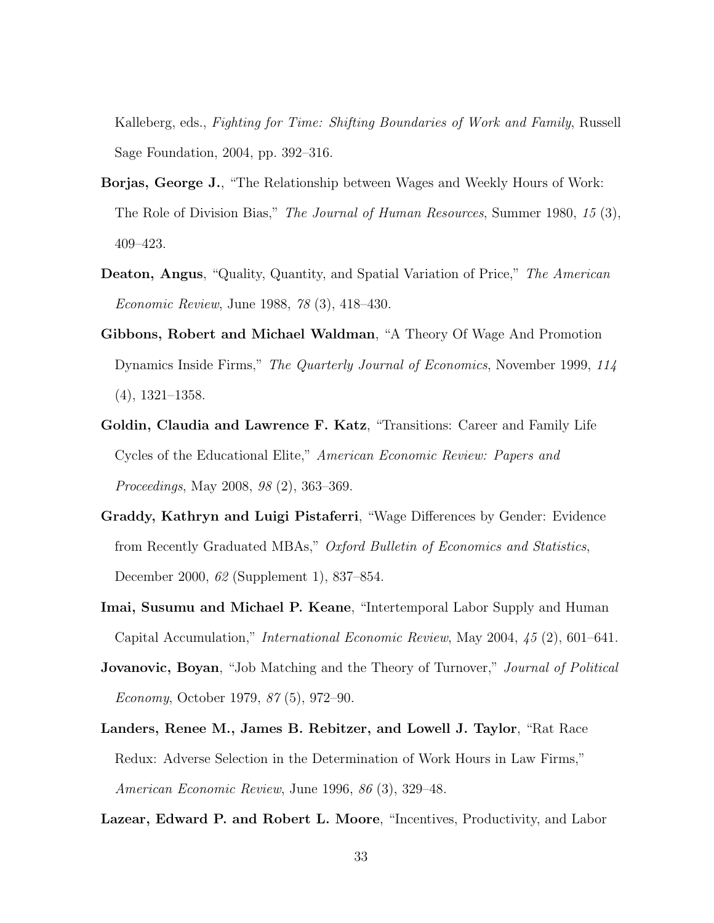Kalleberg, eds., Fighting for Time: Shifting Boundaries of Work and Family, Russell Sage Foundation, 2004, pp. 392–316.

- Borjas, George J., "The Relationship between Wages and Weekly Hours of Work: The Role of Division Bias," The Journal of Human Resources, Summer 1980, 15 (3), 409–423.
- Deaton, Angus, "Quality, Quantity, and Spatial Variation of Price," The American Economic Review, June 1988, 78 (3), 418–430.
- Gibbons, Robert and Michael Waldman, "A Theory Of Wage And Promotion Dynamics Inside Firms," The Quarterly Journal of Economics, November 1999, 114 (4), 1321–1358.
- Goldin, Claudia and Lawrence F. Katz, "Transitions: Career and Family Life Cycles of the Educational Elite," American Economic Review: Papers and Proceedings, May 2008, 98 (2), 363–369.
- Graddy, Kathryn and Luigi Pistaferri, "Wage Differences by Gender: Evidence from Recently Graduated MBAs," Oxford Bulletin of Economics and Statistics, December 2000, 62 (Supplement 1), 837–854.
- Imai, Susumu and Michael P. Keane, "Intertemporal Labor Supply and Human Capital Accumulation," International Economic Review, May 2004, 45 (2), 601–641.
- **Jovanovic, Boyan**, "Job Matching and the Theory of Turnover," *Journal of Political* Economy, October 1979, 87 (5), 972–90.
- Landers, Renee M., James B. Rebitzer, and Lowell J. Taylor, "Rat Race Redux: Adverse Selection in the Determination of Work Hours in Law Firms," American Economic Review, June 1996, 86 (3), 329–48.

Lazear, Edward P. and Robert L. Moore, "Incentives, Productivity, and Labor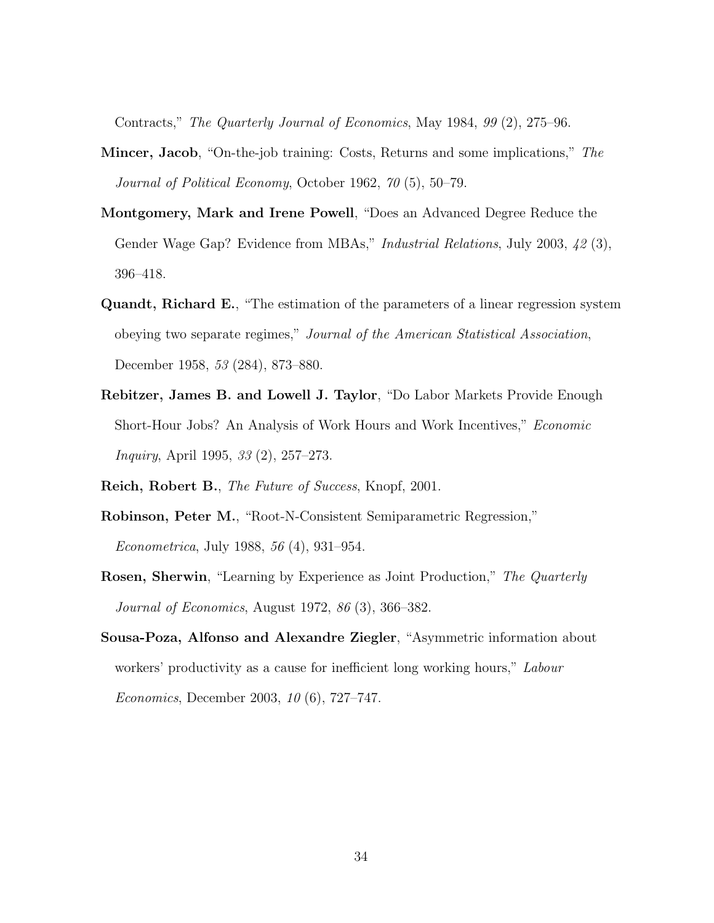Contracts," The Quarterly Journal of Economics, May 1984, 99 (2), 275–96.

- Mincer, Jacob, "On-the-job training: Costs, Returns and some implications," The Journal of Political Economy, October 1962, 70 (5), 50–79.
- Montgomery, Mark and Irene Powell, "Does an Advanced Degree Reduce the Gender Wage Gap? Evidence from MBAs," Industrial Relations, July 2003, 42 (3), 396–418.
- Quandt, Richard E., "The estimation of the parameters of a linear regression system obeying two separate regimes," Journal of the American Statistical Association, December 1958, 53 (284), 873–880.
- Rebitzer, James B. and Lowell J. Taylor, "Do Labor Markets Provide Enough Short-Hour Jobs? An Analysis of Work Hours and Work Incentives," Economic Inquiry, April 1995, 33 (2), 257–273.
- Reich, Robert B., The Future of Success, Knopf, 2001.
- Robinson, Peter M., "Root-N-Consistent Semiparametric Regression," Econometrica, July 1988, 56 (4), 931–954.
- Rosen, Sherwin, "Learning by Experience as Joint Production," The Quarterly Journal of Economics, August 1972, 86 (3), 366–382.
- Sousa-Poza, Alfonso and Alexandre Ziegler, "Asymmetric information about workers' productivity as a cause for inefficient long working hours," Labour Economics, December 2003, 10 (6), 727–747.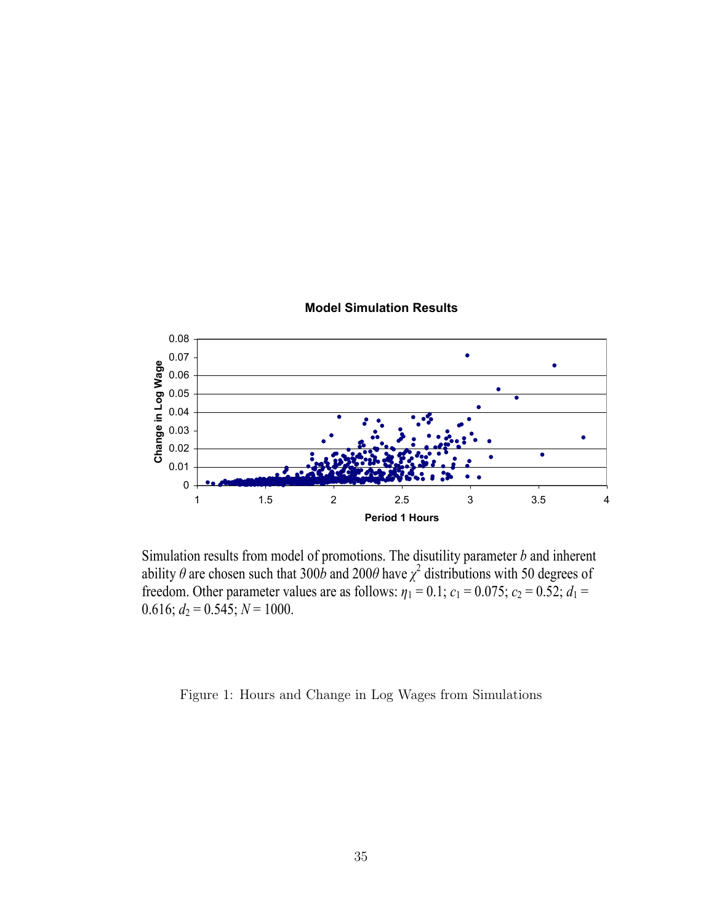

**Model Simulation Results**

Simulation results from model of promotions. The disutility parameter *b* and inherent ability  $\theta$  are chosen such that 300*b* and 200 $\theta$  have  $\chi^2$  distributions with 50 degrees of freedom. Other parameter values are as follows:  $\eta_1 = 0.1$ ;  $c_1 = 0.075$ ;  $c_2 = 0.52$ ;  $d_1 =$  $0.616$ ;  $d_2 = 0.545$ ;  $N = 1000$ .

Figure 1: Hours and Change in Log Wages from Simulations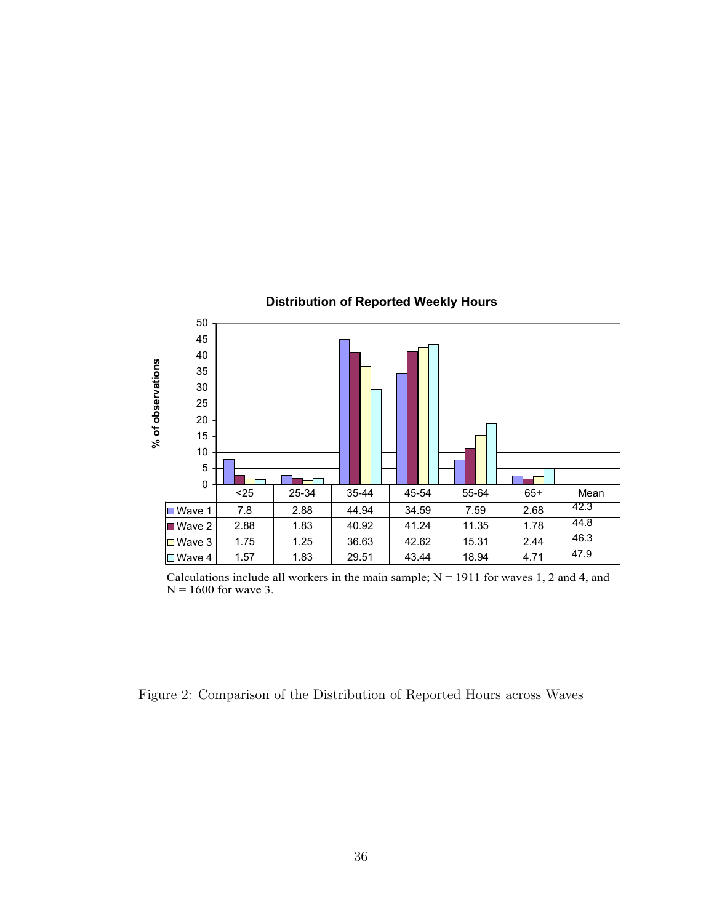

#### **Distribution of Reported Weekly Hours**

Calculations include all workers in the main sample;  $N = 1911$  for waves 1, 2 and 4, and  $N = 1600$  for wave 3.

### Figure 2: Comparison of the Distribution of Reported Hours across Waves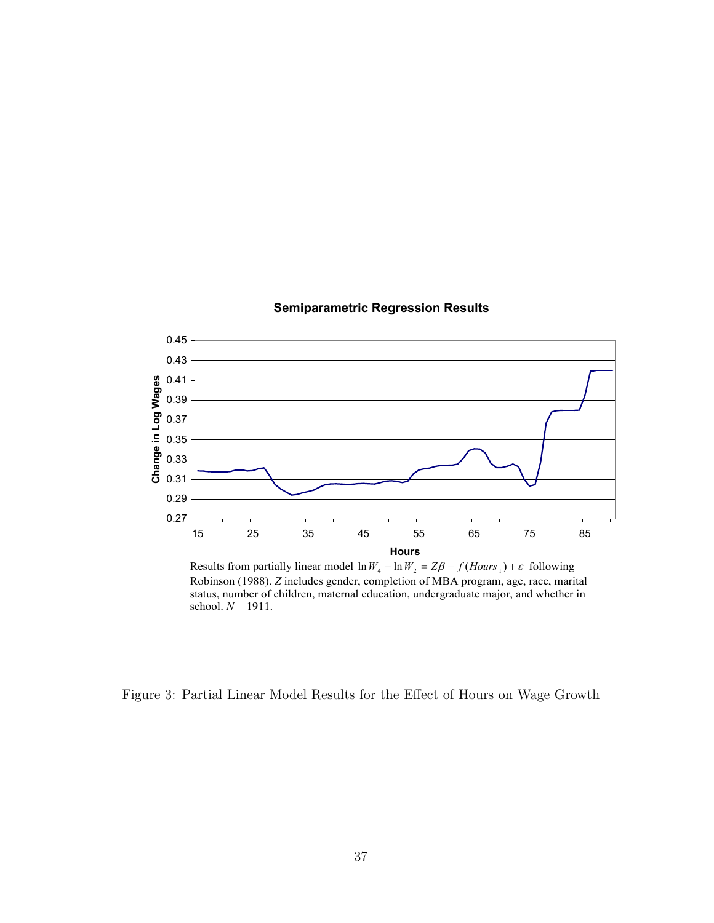

### **Semiparametric Regression Results**

Results from partially linear model  $\ln W_4 - \ln W_2 = Z\beta + f(Hours_1) + \varepsilon$  following Robinson (1988). *Z* includes gender, completion of MBA program, age, race, marital status, number of children, maternal education, undergraduate major, and whether in school.  $N = 1911$ .

Figure 3: Partial Linear Model Results for the Effect of Hours on Wage Growth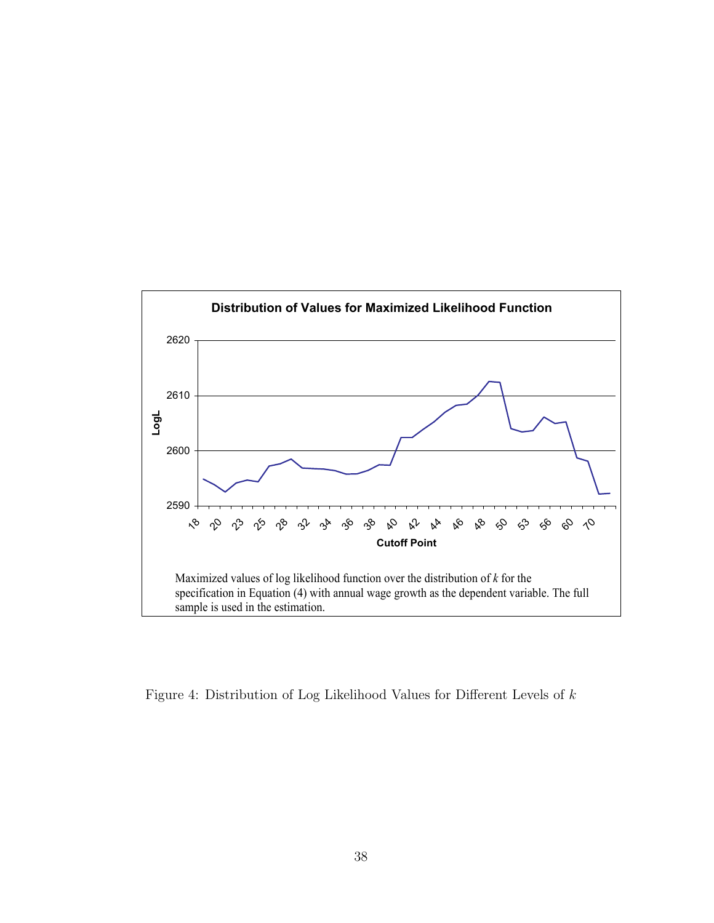

Figure 4: Distribution of Log Likelihood Values for Different Levels of  $k$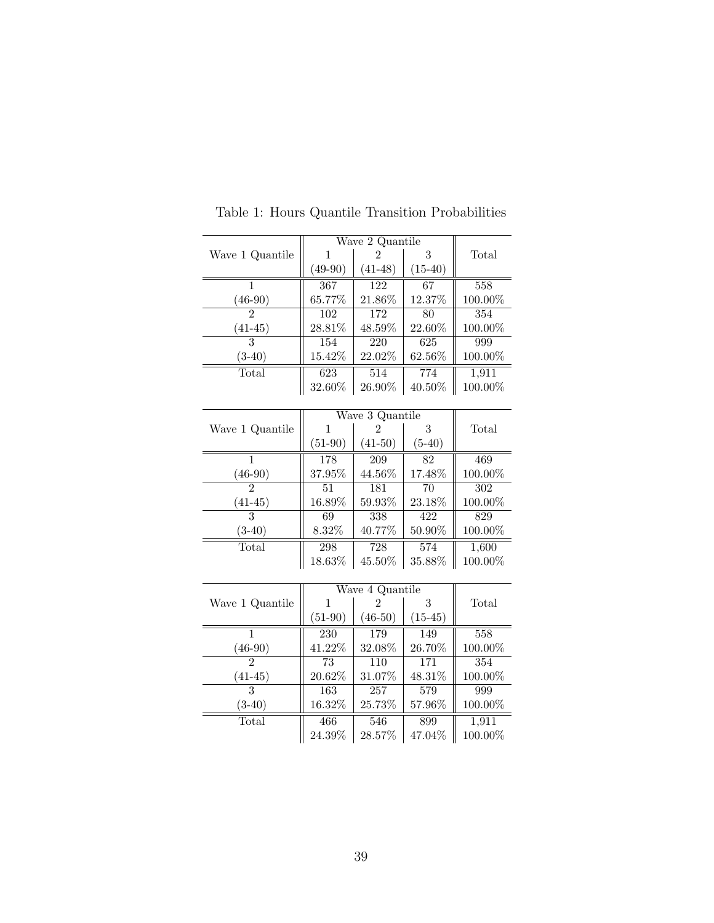|                 |           | Wave 2 Quantile |           |         |
|-----------------|-----------|-----------------|-----------|---------|
| Wave 1 Quantile | 1         | 2               | 3         | Total   |
|                 | $(49-90)$ | $(41-48)$       | $(15-40)$ |         |
| 1               | 367       | 122             | 67        | 558     |
| $(46-90)$       | 65.77%    | 21.86\%         | $12.37\%$ | 100.00% |
| $\mathfrak{D}$  | 102       | 172             | 80        | 354     |
| $(41-45)$       | 28.81\%   | 48.59%          | 22.60%    | 100.00% |
| $\overline{3}$  | 154       | 220             | 625       | 999     |
| $(3-40)$        | 15.42%    | 22.02\%         | 62.56%    | 100.00% |
| Total           | 623       | 514             | 774       | 1,911   |
|                 | 32.60%    | $26.90\%$       | 40.50%    | 100.00% |
|                 |           |                 |           |         |
|                 |           | Wave 3 Quantile |           |         |
| Wave 1 Quantile | 1         | 2               | 3         | Total   |
|                 | $(51-90)$ | $(41-50)$       | $(5-40)$  |         |
| $\mathbf{1}$    | 178       | 209             | 82        | 469     |
| $(46-90)$       | $37.95\%$ | 44.56%          | 17.48%    | 100.00% |
| $\overline{2}$  | 51        | 181             | 70        | 302     |
| $(41-45)$       | 16.89%    | 59.93%          | 23.18%    | 100.00% |
| 3               | 69        | 338             | 422       | 829     |
| $(3-40)$        | $8.32\%$  | 40.77\%         | $50.90\%$ | 100.00% |
| Total           | 298       | 728             | 574       | 1,600   |
|                 | 18.63%    | 45.50%          | 35.88%    | 100.00% |

Table 1: Hours Quantile Transition Probabilities

|                 |           | Wave 4 Quantile |           |         |
|-----------------|-----------|-----------------|-----------|---------|
| Wave 1 Quantile |           |                 | 3         | Total   |
|                 | $(51-90)$ | $(46-50)$       | $(15-45)$ |         |
|                 | 230       | 179             | 149       | 558     |
| $(46-90)$       | 41.22%    | 32.08%          | 26.70%    | 100.00% |
| 2               | 73        | 110             | 171       | 354     |
| $(41-45)$       | 20.62%    | 31.07%          | 48.31%    | 100.00% |
| 3               | 163       | 257             | 579       | 999     |
| $(3-40)$        | 16.32%    | 25.73%          | 57.96%    | 100.00% |
| Total           | 466       | 546             | 899       | 1,911   |
|                 | 24.39%    | 28.57%          | 47.04%    | 100.00% |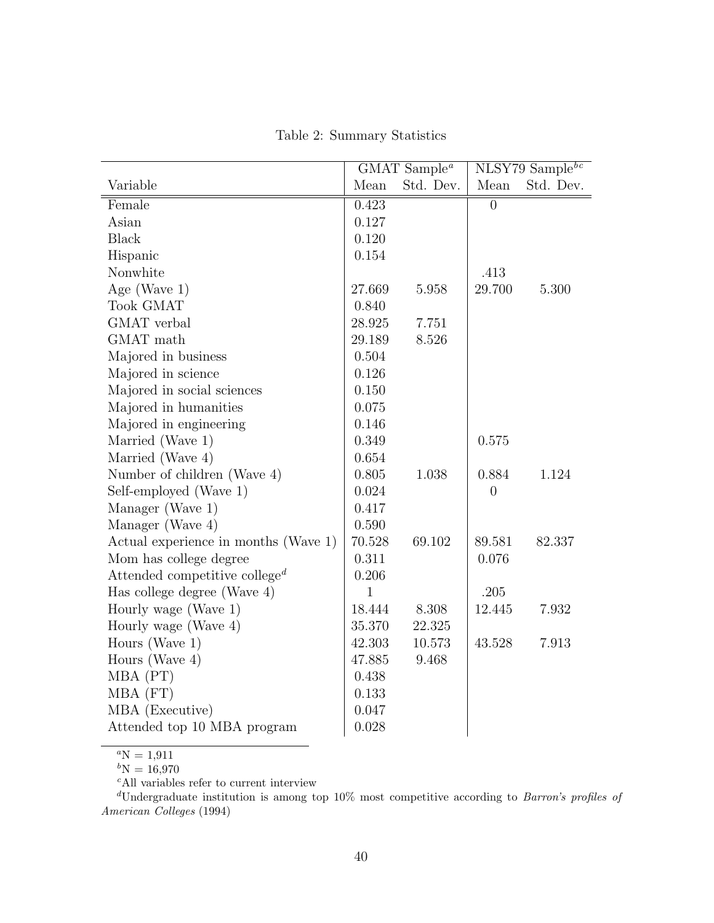Table 2: Summary Statistics

|                                           |                | $GMAT$ Sample <sup><math>a</math></sup> |                | $NLSY79$ Sample <sup>bc</sup> |
|-------------------------------------------|----------------|-----------------------------------------|----------------|-------------------------------|
| Variable                                  | Mean           | Std. Dev.                               | Mean           | Std. Dev.                     |
| Female                                    | 0.423          |                                         | $\overline{0}$ |                               |
| Asian                                     | 0.127          |                                         |                |                               |
| <b>Black</b>                              | 0.120          |                                         |                |                               |
| Hispanic                                  | 0.154          |                                         |                |                               |
| Nonwhite                                  |                |                                         | .413           |                               |
| Age (Wave $1$ )                           | 27.669         | 5.958                                   | 29.700         | 5.300                         |
| <b>Took GMAT</b>                          | 0.840          |                                         |                |                               |
| GMAT verbal                               | 28.925         | 7.751                                   |                |                               |
| GMAT math                                 | 29.189         | 8.526                                   |                |                               |
| Majored in business                       | 0.504          |                                         |                |                               |
| Majored in science                        | 0.126          |                                         |                |                               |
| Majored in social sciences                | 0.150          |                                         |                |                               |
| Majored in humanities                     | 0.075          |                                         |                |                               |
| Majored in engineering                    | 0.146          |                                         |                |                               |
| Married (Wave 1)                          | 0.349          |                                         | 0.575          |                               |
| Married (Wave 4)                          | 0.654          |                                         |                |                               |
| Number of children (Wave 4)               | 0.805          | 1.038                                   | 0.884          | 1.124                         |
| Self-employed (Wave 1)                    | 0.024          |                                         | $\overline{0}$ |                               |
| Manager (Wave 1)                          | 0.417          |                                         |                |                               |
| Manager (Wave 4)                          | 0.590          |                                         |                |                               |
| Actual experience in months (Wave 1)      | 70.528         | 69.102                                  | 89.581         | 82.337                        |
| Mom has college degree                    | 0.311          |                                         | 0.076          |                               |
| Attended competitive college <sup>d</sup> | 0.206          |                                         |                |                               |
| Has college degree (Wave 4)               | $\overline{1}$ |                                         | .205           |                               |
| Hourly wage (Wave 1)                      | 18.444         | 8.308                                   | 12.445         | 7.932                         |
| Hourly wage (Wave 4)                      | 35.370         | 22.325                                  |                |                               |
| Hours (Wave $1$ )                         | 42.303         | 10.573                                  | 43.528         | 7.913                         |
| Hours (Wave 4)                            | 47.885         | 9.468                                   |                |                               |
| MBA (PT)                                  | 0.438          |                                         |                |                               |
| MBA (FT)                                  | 0.133          |                                         |                |                               |
| MBA (Executive)                           | 0.047          |                                         |                |                               |
| Attended top 10 MBA program               | 0.028          |                                         |                |                               |

 $a_N = 1,911$ 

 ${}^{b}N = 16,970$ 

<sup>c</sup>All variables refer to current interview

<sup>d</sup>Undergraduate institution is among top  $10\%$  most competitive according to *Barron's profiles of* American Colleges (1994)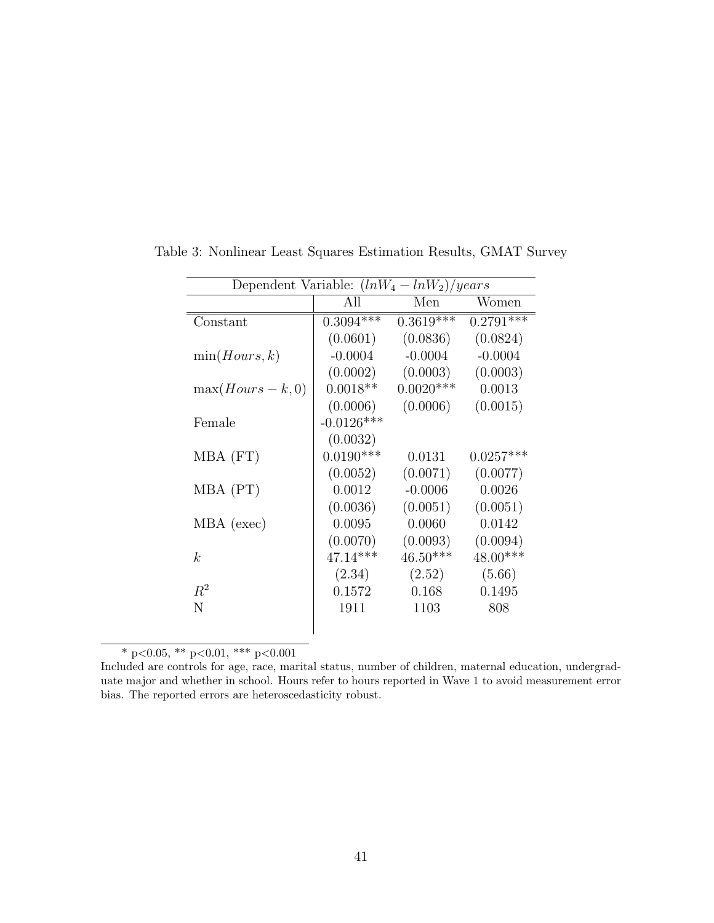|                      | Dependent Variable: $(lnW_4 - lnW_2)/years$ |             |             |  |  |  |
|----------------------|---------------------------------------------|-------------|-------------|--|--|--|
|                      | All                                         | Men         | Women       |  |  |  |
| Constant             | $0.3094***$                                 | $0.3619***$ | $0.2791***$ |  |  |  |
|                      | (0.0601)                                    | (0.0836)    | (0.0824)    |  |  |  |
| min(Hours, k)        | $-0.0004$                                   | $-0.0004$   | $-0.0004$   |  |  |  |
|                      | (0.0002)                                    | (0.0003)    | (0.0003)    |  |  |  |
| $\max(Hours - k, 0)$ | $0.0018**$                                  | $0.0020***$ | 0.0013      |  |  |  |
|                      | (0.0006)                                    | (0.0006)    | (0.0015)    |  |  |  |
| Female               | $-0.0126***$                                |             |             |  |  |  |
|                      | (0.0032)                                    |             |             |  |  |  |
| MBA (FT)             | $0.0190***$                                 | 0.0131      | $0.0257***$ |  |  |  |
|                      | (0.0052)                                    | (0.0071)    | (0.0077)    |  |  |  |
| MBA (PT)             | 0.0012                                      | $-0.0006$   | 0.0026      |  |  |  |
|                      | (0.0036)                                    | (0.0051)    | (0.0051)    |  |  |  |
| MBA (exec)           | 0.0095                                      | 0.0060      | 0.0142      |  |  |  |
|                      | (0.0070)                                    | (0.0093)    | (0.0094)    |  |  |  |
| $\boldsymbol{k}$     | $47.14***$                                  | $46.50***$  | 48.00***    |  |  |  |
|                      | (2.34)                                      | (2.52)      | (5.66)      |  |  |  |
| $R^2$                | 0.1572                                      | 0.168       | 0.1495      |  |  |  |
| N                    | 1911                                        | 1103        | 808         |  |  |  |
|                      |                                             |             |             |  |  |  |

Table 3: Nonlinear Least Squares Estimation Results, GMAT Survey

Included are controls for age, race, marital status, number of children, maternal education, undergraduate major and whether in school. Hours refer to hours reported in Wave 1 to avoid measurement error bias. The reported errors are heteroscedasticity robust.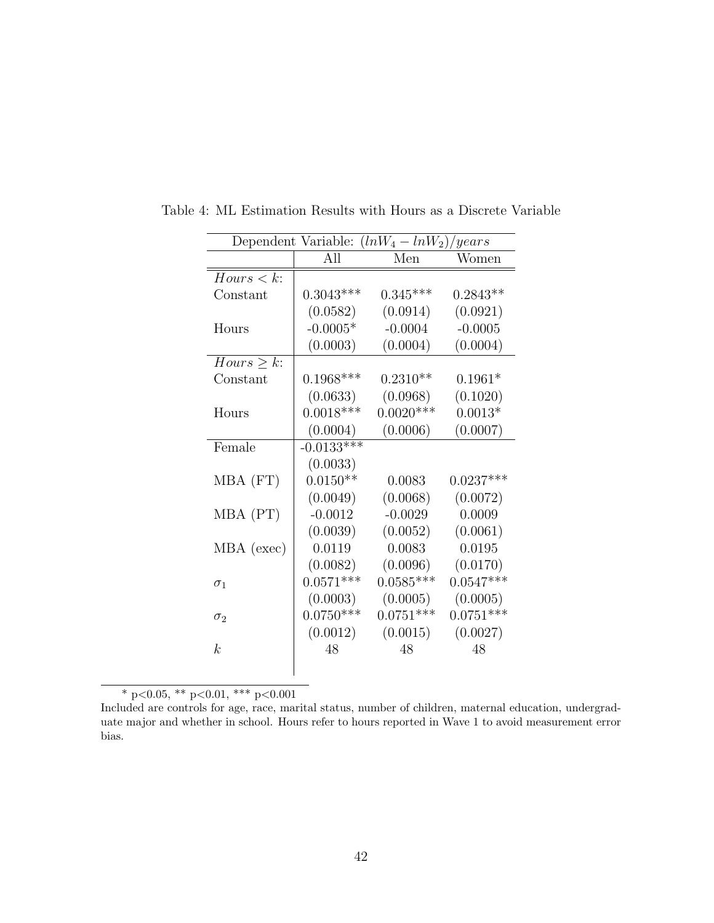|                  | Dependent Variable: | $(lnW_4 - lnW_2)/years$ |             |
|------------------|---------------------|-------------------------|-------------|
|                  | All                 | Men                     | Women       |
| Hours < k        |                     |                         |             |
| Constant         | $0.3043***$         | $0.345***$              | $0.2843**$  |
|                  | (0.0582)            | (0.0914)                | (0.0921)    |
| Hours            | $-0.0005*$          | $-0.0004$               | $-0.0005$   |
|                  | (0.0003)            | (0.0004)                | (0.0004)    |
| $Hours \geq k$ : |                     |                         |             |
| Constant         | $0.1968***$         | $0.2310**$              | $0.1961*$   |
|                  | (0.0633)            | (0.0968)                | (0.1020)    |
| Hours            | $0.0018***$         | $0.0020***$             | $0.0013*$   |
|                  | (0.0004)            | (0.0006)                | (0.0007)    |
| Female           | $-0.0133***$        |                         |             |
|                  | (0.0033)            |                         |             |
| MBA (FT)         | $0.0150**$          | 0.0083                  | $0.0237***$ |
|                  | (0.0049)            | (0.0068)                | (0.0072)    |
| MBA (PT)         | $-0.0012$           | $-0.0029$               | 0.0009      |
|                  | (0.0039)            | (0.0052)                | (0.0061)    |
| MBA (exec)       | 0.0119              | 0.0083                  | 0.0195      |
|                  | (0.0082)            | (0.0096)                | (0.0170)    |
| $\sigma_1$       | $0.0571***$         | $0.0585***$             | $0.0547***$ |
|                  | (0.0003)            | (0.0005)                | (0.0005)    |
| $\sigma_2$       | $0.0750***$         | $0.0751***$             | $0.0751***$ |
|                  | (0.0012)            | (0.0015)                | (0.0027)    |
| k                | 48                  | 48                      | 48          |
|                  |                     |                         |             |

Table 4: ML Estimation Results with Hours as a Discrete Variable

Included are controls for age, race, marital status, number of children, maternal education, undergraduate major and whether in school. Hours refer to hours reported in Wave 1 to avoid measurement error bias.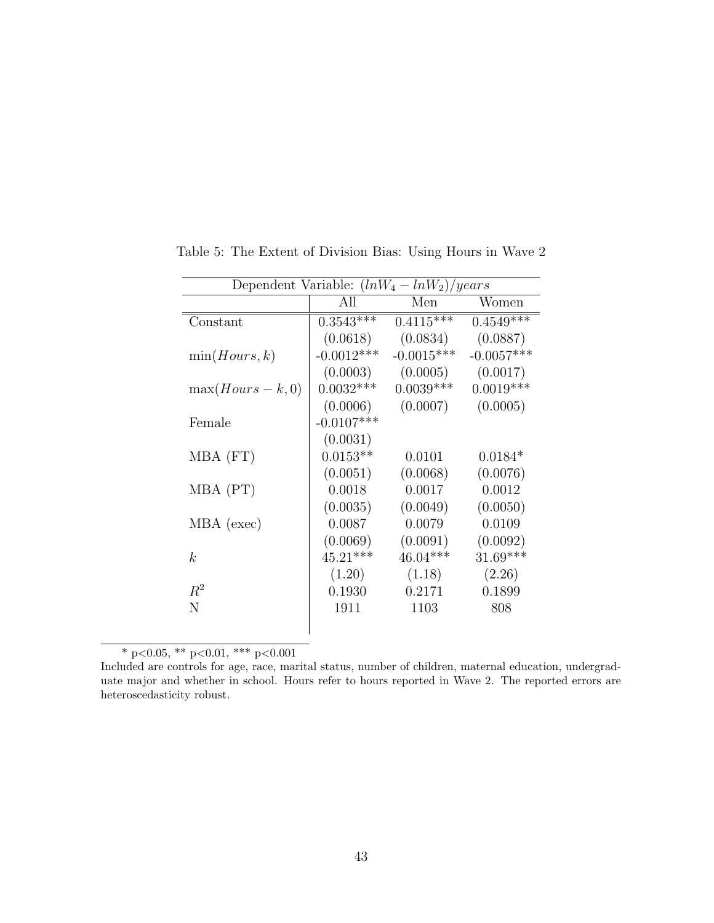|                      | Dependent Variable: $(lnW_4 - lnW_2)/years$ |              |              |  |  |  |
|----------------------|---------------------------------------------|--------------|--------------|--|--|--|
|                      | All                                         | Men          | Women        |  |  |  |
| Constant             | $0.3543***$                                 | $0.4115***$  | $0.4549***$  |  |  |  |
|                      | (0.0618)                                    | (0.0834)     | (0.0887)     |  |  |  |
| min(Hours, k)        | $-0.0012***$                                | $-0.0015***$ | $-0.0057***$ |  |  |  |
|                      | (0.0003)                                    | (0.0005)     | (0.0017)     |  |  |  |
| $\max(Hours - k, 0)$ | $0.0032***$                                 | $0.0039***$  | $0.0019***$  |  |  |  |
|                      | (0.0006)                                    | (0.0007)     | (0.0005)     |  |  |  |
| Female               | $-0.0107***$                                |              |              |  |  |  |
|                      | (0.0031)                                    |              |              |  |  |  |
| $MBA$ (FT)           | $0.0153**$                                  | 0.0101       | $0.0184*$    |  |  |  |
|                      | (0.0051)                                    | (0.0068)     | (0.0076)     |  |  |  |
| MBA (PT)             | 0.0018                                      | 0.0017       | 0.0012       |  |  |  |
|                      | (0.0035)                                    | (0.0049)     | (0.0050)     |  |  |  |
| MBA (exec)           | 0.0087                                      | 0.0079       | 0.0109       |  |  |  |
|                      | (0.0069)                                    | (0.0091)     | (0.0092)     |  |  |  |
| $\boldsymbol{k}$     | $45.21***$                                  | 46.04***     | $31.69***$   |  |  |  |
|                      | (1.20)                                      | (1.18)       | (2.26)       |  |  |  |
| $R^2$                | 0.1930                                      | 0.2171       | 0.1899       |  |  |  |
| N                    | 1911                                        | 1103         | 808          |  |  |  |
|                      |                                             |              |              |  |  |  |

Table 5: The Extent of Division Bias: Using Hours in Wave 2

Included are controls for age, race, marital status, number of children, maternal education, undergraduate major and whether in school. Hours refer to hours reported in Wave 2. The reported errors are heteroscedasticity robust.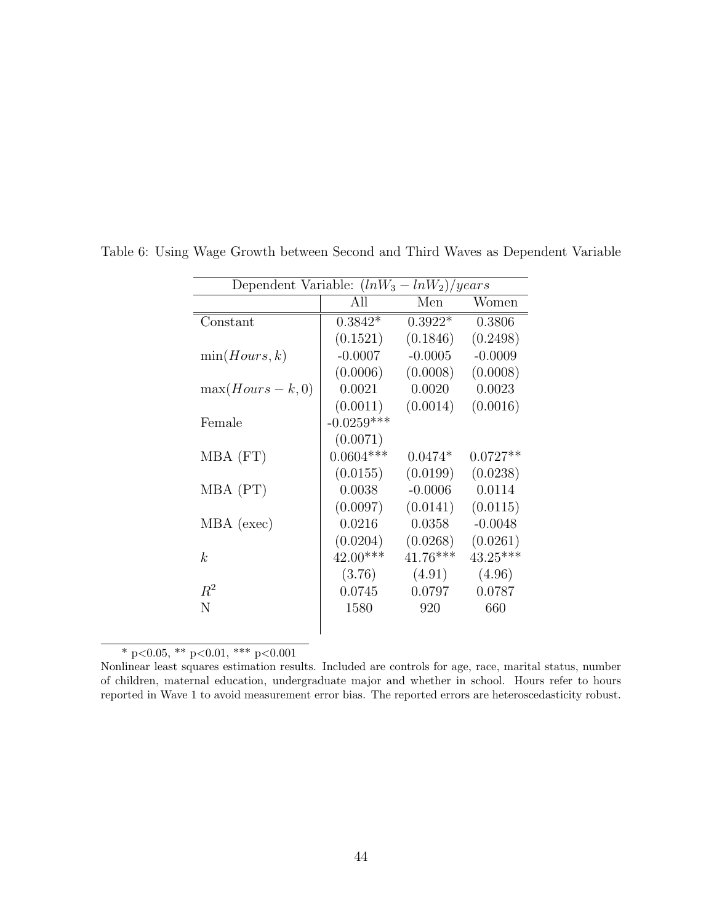| Dependent Variable: $(lnW_3 - lnW_2)/years$ |              |            |            |  |  |
|---------------------------------------------|--------------|------------|------------|--|--|
|                                             | All          | Men        | Women      |  |  |
| Constant                                    | $0.3842*$    | $0.3922*$  | 0.3806     |  |  |
|                                             | (0.1521)     | (0.1846)   | (0.2498)   |  |  |
| min(Hours, k)                               | $-0.0007$    | $-0.0005$  | $-0.0009$  |  |  |
|                                             | (0.0006)     | (0.0008)   | (0.0008)   |  |  |
| $max(Hours - k, 0)$                         | 0.0021       | 0.0020     | 0.0023     |  |  |
|                                             | (0.0011)     | (0.0014)   | (0.0016)   |  |  |
| Female                                      | $-0.0259***$ |            |            |  |  |
|                                             | (0.0071)     |            |            |  |  |
| MBA (FT)                                    | $0.0604***$  | $0.0474*$  | $0.0727**$ |  |  |
|                                             | (0.0155)     | (0.0199)   | (0.0238)   |  |  |
| MBA (PT)                                    | 0.0038       | $-0.0006$  | 0.0114     |  |  |
|                                             | (0.0097)     | (0.0141)   | (0.0115)   |  |  |
| $MBA$ (exec)                                | 0.0216       | 0.0358     | $-0.0048$  |  |  |
|                                             | (0.0204)     | (0.0268)   | (0.0261)   |  |  |
| k                                           | 42.00***     | $41.76***$ | $43.25***$ |  |  |
|                                             | (3.76)       | (4.91)     | (4.96)     |  |  |
| $R^2$                                       | 0.0745       | 0.0797     | 0.0787     |  |  |
| N                                           | 1580         | 920        | 660        |  |  |
|                                             |              |            |            |  |  |

Table 6: Using Wage Growth between Second and Third Waves as Dependent Variable

Nonlinear least squares estimation results. Included are controls for age, race, marital status, number of children, maternal education, undergraduate major and whether in school. Hours refer to hours reported in Wave 1 to avoid measurement error bias. The reported errors are heteroscedasticity robust.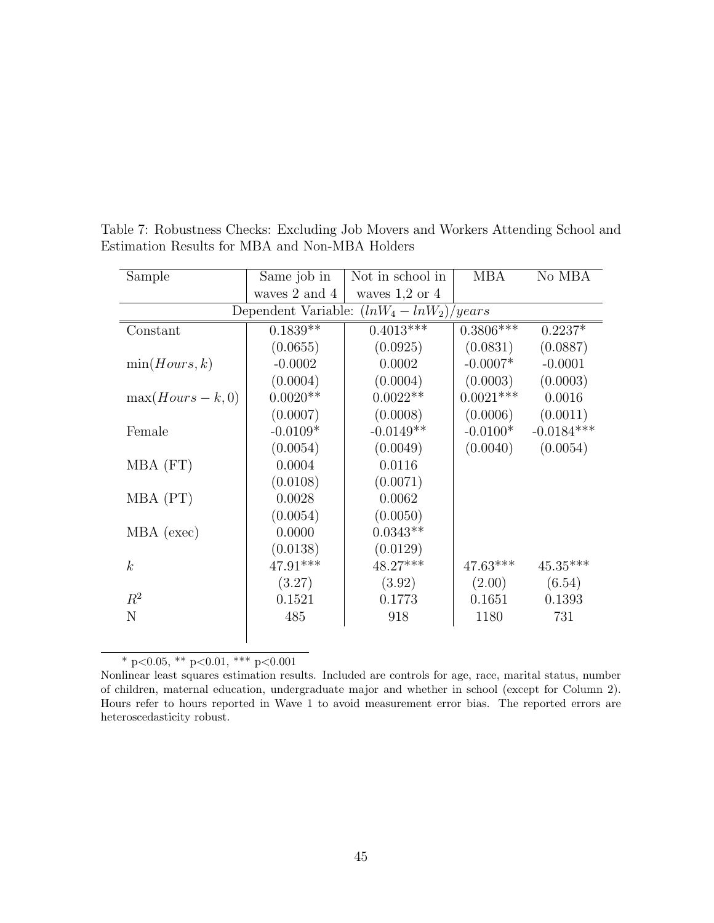| Sample               | Same job in         | Not in school in        | <b>MBA</b>  | No MBA       |
|----------------------|---------------------|-------------------------|-------------|--------------|
|                      | waves $2$ and $4$   | waves $1,2$ or $4$      |             |              |
|                      | Dependent Variable: | $(lnW_4 - lnW_2)/years$ |             |              |
| Constant             | $0.1839**$          | $0.4013***$             | $0.3806***$ | $0.2237*$    |
|                      | (0.0655)            | (0.0925)                | (0.0831)    | (0.0887)     |
| min(Hours, k)        | $-0.0002$           | 0.0002                  | $-0.0007*$  | $-0.0001$    |
|                      | (0.0004)            | (0.0004)                | (0.0003)    | (0.0003)     |
| $\max(Hours - k, 0)$ | $0.0020**$          | $0.0022**$              | $0.0021***$ | 0.0016       |
|                      | (0.0007)            | (0.0008)                | (0.0006)    | (0.0011)     |
| Female               | $-0.0109*$          | $-0.0149**$             | $-0.0100*$  | $-0.0184***$ |
|                      | (0.0054)            | (0.0049)                | (0.0040)    | (0.0054)     |
| $MBA$ (FT)           | 0.0004              | 0.0116                  |             |              |
|                      | (0.0108)            | (0.0071)                |             |              |
| MBA (PT)             | 0.0028              | 0.0062                  |             |              |
|                      | (0.0054)            | (0.0050)                |             |              |
| MBA (exec)           | 0.0000              | $0.0343**$              |             |              |
|                      | (0.0138)            | (0.0129)                |             |              |
| k <sub>i</sub>       | 47.91***            | 48.27***                | $47.63***$  | $45.35***$   |
|                      | (3.27)              | (3.92)                  | (2.00)      | (6.54)       |
| $R^2$                | 0.1521              | 0.1773                  | 0.1651      | 0.1393       |
| $\mathbf N$          | 485                 | 918                     | 1180        | 731          |
|                      |                     |                         |             |              |

Table 7: Robustness Checks: Excluding Job Movers and Workers Attending School and Estimation Results for MBA and Non-MBA Holders

Nonlinear least squares estimation results. Included are controls for age, race, marital status, number of children, maternal education, undergraduate major and whether in school (except for Column 2). Hours refer to hours reported in Wave 1 to avoid measurement error bias. The reported errors are heteroscedasticity robust.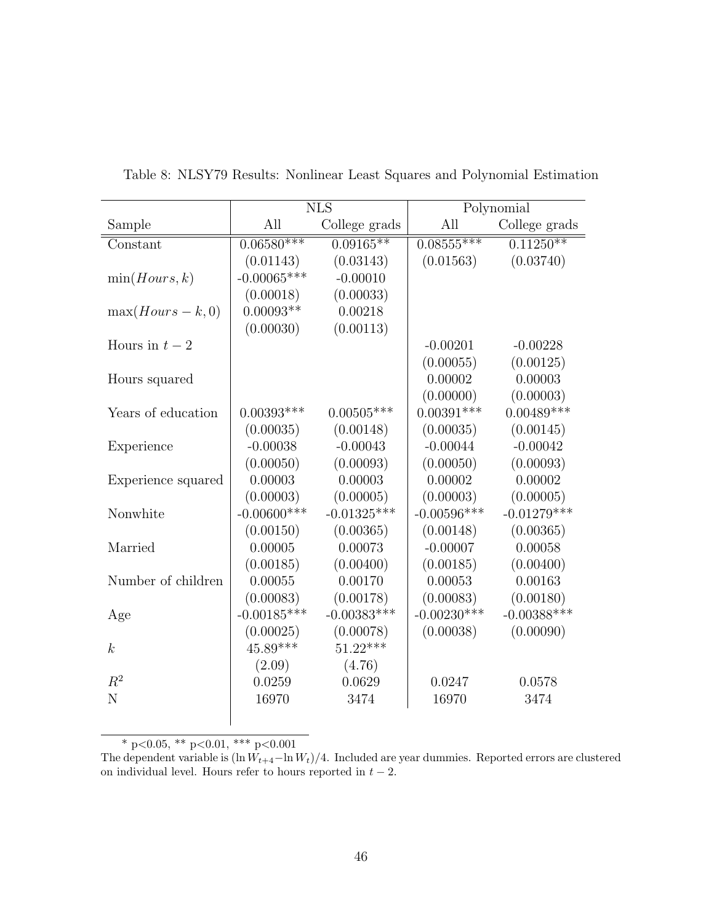|                      |                | <b>NLS</b>    |               | Polynomial     |
|----------------------|----------------|---------------|---------------|----------------|
| Sample               | All            | College grads | All           | College grads  |
| Constant             | $0.06580***$   | $0.09165***$  | $0.08555***$  | $0.11250**$    |
|                      | (0.01143)      | (0.03143)     | (0.01563)     | (0.03740)      |
| min(Hours, k)        | $-0.00065***$  | $-0.00010$    |               |                |
|                      | (0.00018)      | (0.00033)     |               |                |
| $\max(Hours - k, 0)$ | $0.00093**$    | 0.00218       |               |                |
|                      | (0.00030)      | (0.00113)     |               |                |
| Hours in $t-2$       |                |               | $-0.00201$    | $-0.00228$     |
|                      |                |               | (0.00055)     | (0.00125)      |
| Hours squared        |                |               | 0.00002       | 0.00003        |
|                      |                |               | (0.00000)     | (0.00003)      |
| Years of education   | $0.00393***$   | $0.00505***$  | $0.00391***$  | $0.00489***$   |
|                      | (0.00035)      | (0.00148)     | (0.00035)     | (0.00145)      |
| Experience           | $-0.00038$     | $-0.00043$    | $-0.00044$    | $-0.00042$     |
|                      | (0.00050)      | (0.00093)     | (0.00050)     | (0.00093)      |
| Experience squared   | 0.00003        | 0.00003       | 0.00002       | 0.00002        |
|                      | (0.00003)      | (0.00005)     | (0.00003)     | (0.00005)      |
| Nonwhite             | $-0.00600$ *** | $-0.01325***$ | $-0.00596***$ | $-0.01279***$  |
|                      | (0.00150)      | (0.00365)     | (0.00148)     | (0.00365)      |
| Married              | 0.00005        | 0.00073       | $-0.00007$    | 0.00058        |
|                      | (0.00185)      | (0.00400)     | (0.00185)     | (0.00400)      |
| Number of children   | 0.00055        | 0.00170       | 0.00053       | 0.00163        |
|                      | (0.00083)      | (0.00178)     | (0.00083)     | (0.00180)      |
| Age                  | $-0.00185***$  | $-0.00383***$ | $-0.00230***$ | $-0.00388$ *** |
|                      | (0.00025)      | (0.00078)     | (0.00038)     | (0.00090)      |
| $\boldsymbol{k}$     | $45.89***$     | $51.22***$    |               |                |
|                      | (2.09)         | (4.76)        |               |                |
| $R^2$                | 0.0259         | 0.0629        | 0.0247        | 0.0578         |
| N                    | 16970          | 3474          | 16970         | 3474           |
|                      |                |               |               |                |

Table 8: NLSY79 Results: Nonlinear Least Squares and Polynomial Estimation

The dependent variable is  $(\ln W_{t+4}-\ln W_t)/4$ . Included are year dummies. Reported errors are clustered on individual level. Hours refer to hours reported in  $t - 2$ .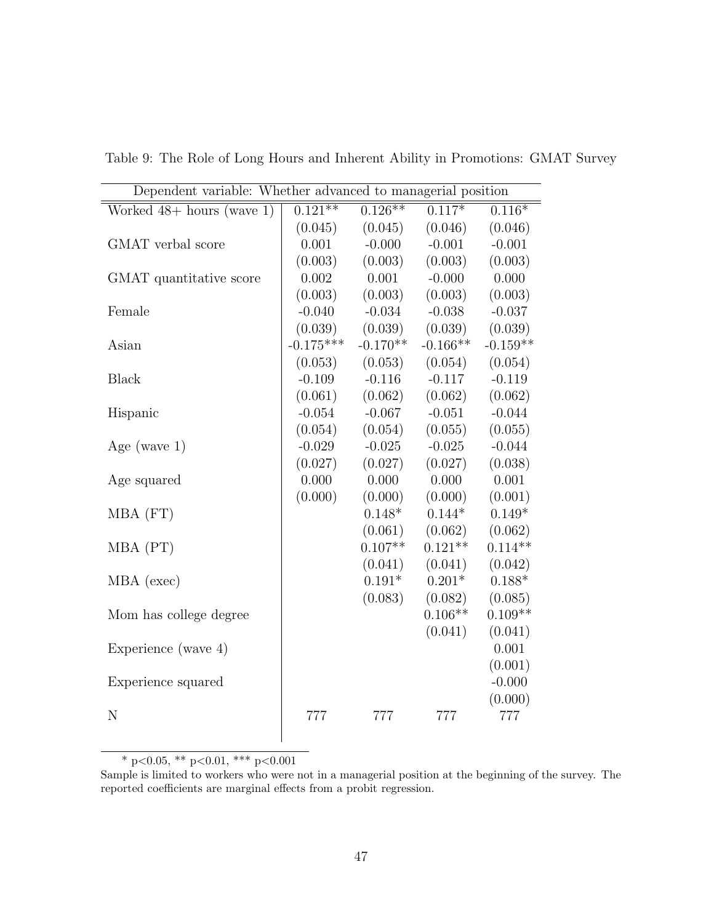| Dependent variable: Whether advanced to managerial position |             |            |            |            |  |
|-------------------------------------------------------------|-------------|------------|------------|------------|--|
| Worked $48+$ hours (wave 1)                                 | $0.121***$  | $0.126**$  | $0.117*$   | $0.116*$   |  |
|                                                             | (0.045)     | (0.045)    | (0.046)    | (0.046)    |  |
| GMAT verbal score                                           | 0.001       | $-0.000$   | $-0.001$   | $-0.001$   |  |
|                                                             | (0.003)     | (0.003)    | (0.003)    | (0.003)    |  |
| GMAT quantitative score                                     | 0.002       | 0.001      | $-0.000$   | 0.000      |  |
|                                                             | (0.003)     | (0.003)    | (0.003)    | (0.003)    |  |
| Female                                                      | $-0.040$    | $-0.034$   | $-0.038$   | $-0.037$   |  |
|                                                             | (0.039)     | (0.039)    | (0.039)    | (0.039)    |  |
| Asian                                                       | $-0.175***$ | $-0.170**$ | $-0.166**$ | $-0.159**$ |  |
|                                                             | (0.053)     | (0.053)    | (0.054)    | (0.054)    |  |
| <b>Black</b>                                                | $-0.109$    | $-0.116$   | $-0.117$   | $-0.119$   |  |
|                                                             | (0.061)     | (0.062)    | (0.062)    | (0.062)    |  |
| Hispanic                                                    | $-0.054$    | $-0.067$   | $-0.051$   | $-0.044$   |  |
|                                                             | (0.054)     | (0.054)    | (0.055)    | (0.055)    |  |
| Age (wave $1$ )                                             | $-0.029$    | $-0.025$   | $-0.025$   | $-0.044$   |  |
|                                                             | (0.027)     | (0.027)    | (0.027)    | (0.038)    |  |
| Age squared                                                 | 0.000       | 0.000      | 0.000      | 0.001      |  |
|                                                             | (0.000)     | (0.000)    | (0.000)    | (0.001)    |  |
| $MBA$ (FT)                                                  |             | $0.148*$   | $0.144*$   | $0.149*$   |  |
|                                                             |             | (0.061)    | (0.062)    | (0.062)    |  |
| MBA (PT)                                                    |             | $0.107**$  | $0.121**$  | $0.114**$  |  |
|                                                             |             | (0.041)    | (0.041)    | (0.042)    |  |
| MBA (exec)                                                  |             | $0.191*$   | $0.201*$   | $0.188*$   |  |
|                                                             |             | (0.083)    | (0.082)    | (0.085)    |  |
| Mom has college degree                                      |             |            | $0.106**$  | $0.109**$  |  |
|                                                             |             |            | (0.041)    | (0.041)    |  |
| Experience (wave 4)                                         |             |            |            | 0.001      |  |
|                                                             |             |            |            | (0.001)    |  |
| Experience squared                                          |             |            |            | $-0.000$   |  |
|                                                             |             |            |            | (0.000)    |  |
| N                                                           | 777         | 777        | 777        | 777        |  |
|                                                             |             |            |            |            |  |

Table 9: The Role of Long Hours and Inherent Ability in Promotions: GMAT Survey

Sample is limited to workers who were not in a managerial position at the beginning of the survey. The reported coefficients are marginal effects from a probit regression.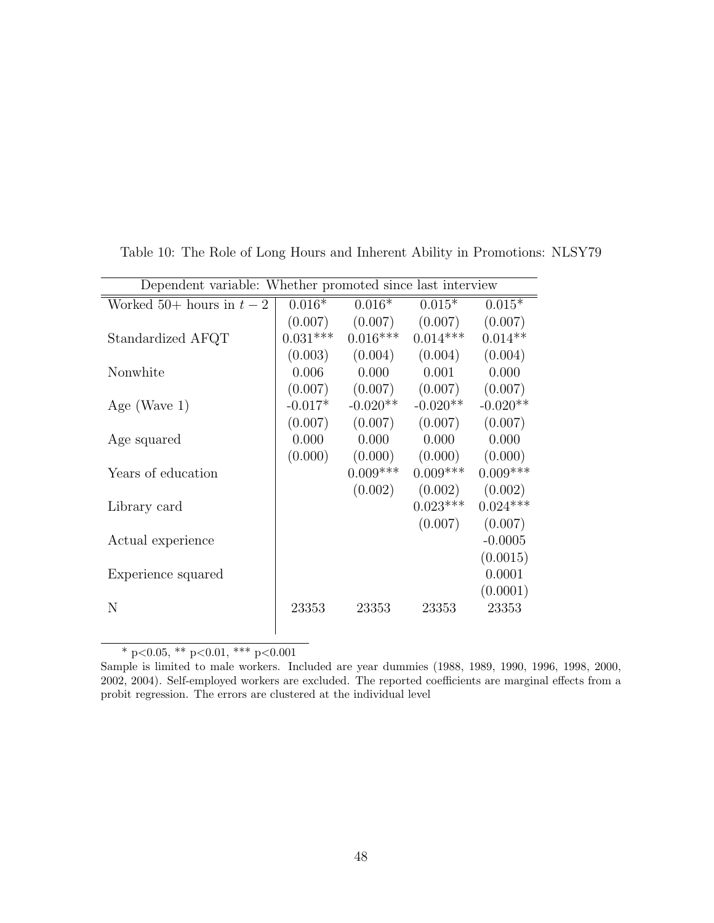| Dependent variable: Whether promoted since last interview |            |                     |                               |            |  |
|-----------------------------------------------------------|------------|---------------------|-------------------------------|------------|--|
| Worked 50+ hours in $t-2$                                 | $0.016*$   | $0.016*$            | $0.015*$                      | $0.015*$   |  |
|                                                           |            | $(0.007)$ $(0.007)$ | (0.007)                       | (0.007)    |  |
| Standardized AFQT                                         | $0.031***$ | $0.016***$          | $0.014***$                    | $0.014**$  |  |
|                                                           |            | $(0.003)$ $(0.004)$ | (0.004)                       | (0.004)    |  |
| Nonwhite                                                  | 0.006      | 0.000               | 0.001                         | 0.000      |  |
|                                                           |            |                     | $(0.007)$ $(0.007)$ $(0.007)$ | (0.007)    |  |
| Age (Wave $1$ )                                           | $-0.017*$  | $-0.020**$          | $-0.020**$                    | $-0.020**$ |  |
|                                                           | (0.007)    | (0.007)             | (0.007)                       | (0.007)    |  |
| Age squared                                               | 0.000      | 0.000               | 0.000                         | 0.000      |  |
|                                                           | (0.000)    |                     | $(0.000)$ $(0.000)$           | (0.000)    |  |
| Years of education                                        |            | $0.009***$          | $0.009***$                    | $0.009***$ |  |
|                                                           |            | (0.002)             | (0.002)                       | (0.002)    |  |
| Library card                                              |            |                     | $0.023***$                    | $0.024***$ |  |
|                                                           |            |                     | (0.007)                       | (0.007)    |  |
| Actual experience                                         |            |                     |                               | $-0.0005$  |  |
|                                                           |            |                     |                               | (0.0015)   |  |
| Experience squared                                        |            |                     |                               | 0.0001     |  |
|                                                           |            |                     |                               | (0.0001)   |  |
| N                                                         | 23353      | 23353               | 23353                         | 23353      |  |
|                                                           |            |                     |                               |            |  |

Table 10: The Role of Long Hours and Inherent Ability in Promotions: NLSY79

Sample is limited to male workers. Included are year dummies (1988, 1989, 1990, 1996, 1998, 2000, 2002, 2004). Self-employed workers are excluded. The reported coefficients are marginal effects from a probit regression. The errors are clustered at the individual level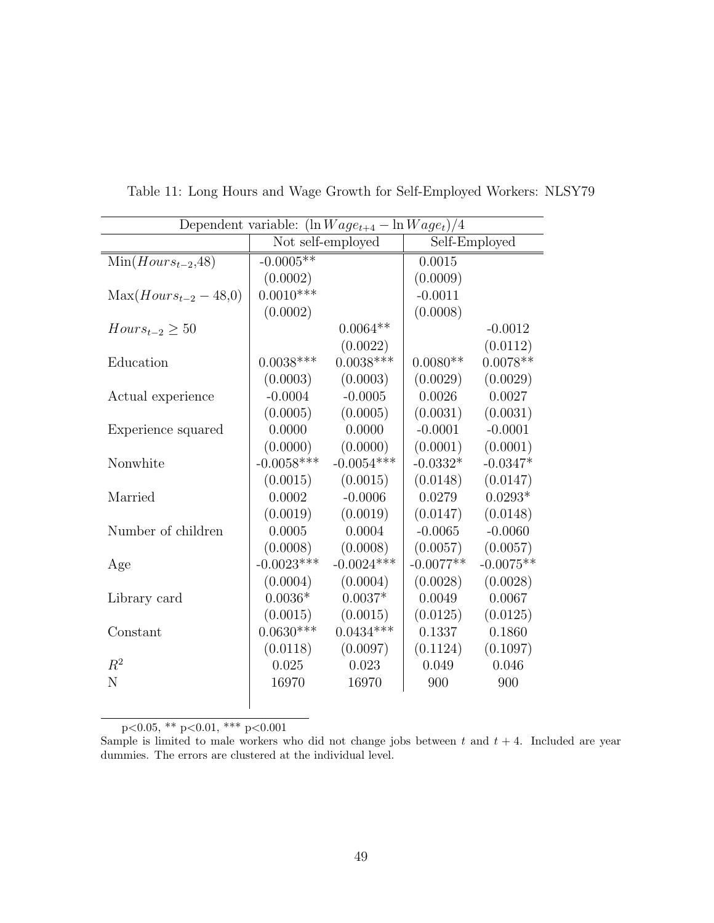| Dependent variable: $(\ln Wage_{t+4} - \ln Wage_t)/4$ |              |                   |             |               |  |
|-------------------------------------------------------|--------------|-------------------|-------------|---------------|--|
|                                                       |              | Not self-employed |             | Self-Employed |  |
| $Min(Hours_{t-2}, 48)$                                | $-0.0005**$  |                   | 0.0015      |               |  |
|                                                       | (0.0002)     |                   | (0.0009)    |               |  |
| $Max(Hours_{t-2} - 48,0)$                             | $0.0010***$  |                   | $-0.0011$   |               |  |
|                                                       | (0.0002)     |                   | (0.0008)    |               |  |
| $Hours_{t-2} \geq 50$                                 |              | $0.0064**$        |             | $-0.0012$     |  |
|                                                       |              | (0.0022)          |             | (0.0112)      |  |
| Education                                             | $0.0038***$  | $0.0038***$       | $0.0080**$  | $0.0078**$    |  |
|                                                       | (0.0003)     | (0.0003)          | (0.0029)    | (0.0029)      |  |
| Actual experience                                     | $-0.0004$    | $-0.0005$         | 0.0026      | 0.0027        |  |
|                                                       | (0.0005)     | (0.0005)          | (0.0031)    | (0.0031)      |  |
| Experience squared                                    | 0.0000       | 0.0000            | $-0.0001$   | $-0.0001$     |  |
|                                                       | (0.0000)     | (0.0000)          | (0.0001)    | (0.0001)      |  |
| Nonwhite                                              | $-0.0058***$ | $-0.0054***$      | $-0.0332*$  | $-0.0347*$    |  |
|                                                       | (0.0015)     | (0.0015)          | (0.0148)    | (0.0147)      |  |
| Married                                               | 0.0002       | $-0.0006$         | 0.0279      | $0.0293*$     |  |
|                                                       | (0.0019)     | (0.0019)          | (0.0147)    | (0.0148)      |  |
| Number of children                                    | 0.0005       | 0.0004            | $-0.0065$   | $-0.0060$     |  |
|                                                       | (0.0008)     | (0.0008)          | (0.0057)    | (0.0057)      |  |
| Age                                                   | $-0.0023***$ | $-0.0024***$      | $-0.0077**$ | $-0.0075**$   |  |
|                                                       | (0.0004)     | (0.0004)          | (0.0028)    | (0.0028)      |  |
| Library card                                          | $0.0036*$    | $0.0037*$         | 0.0049      | 0.0067        |  |
|                                                       | (0.0015)     | (0.0015)          | (0.0125)    | (0.0125)      |  |
| Constant                                              | $0.0630***$  | $0.0434***$       | 0.1337      | 0.1860        |  |
|                                                       | (0.0118)     | (0.0097)          | (0.1124)    | (0.1097)      |  |
| $R^2$                                                 | 0.025        | 0.023             | 0.049       | 0.046         |  |
| N                                                     | 16970        | 16970             | 900         | 900           |  |
|                                                       |              |                   |             |               |  |
|                                                       |              |                   |             |               |  |

Table 11: Long Hours and Wage Growth for Self-Employed Workers: NLSY79

Sample is limited to male workers who did not change jobs between t and  $t + 4$ . Included are year dummies. The errors are clustered at the individual level.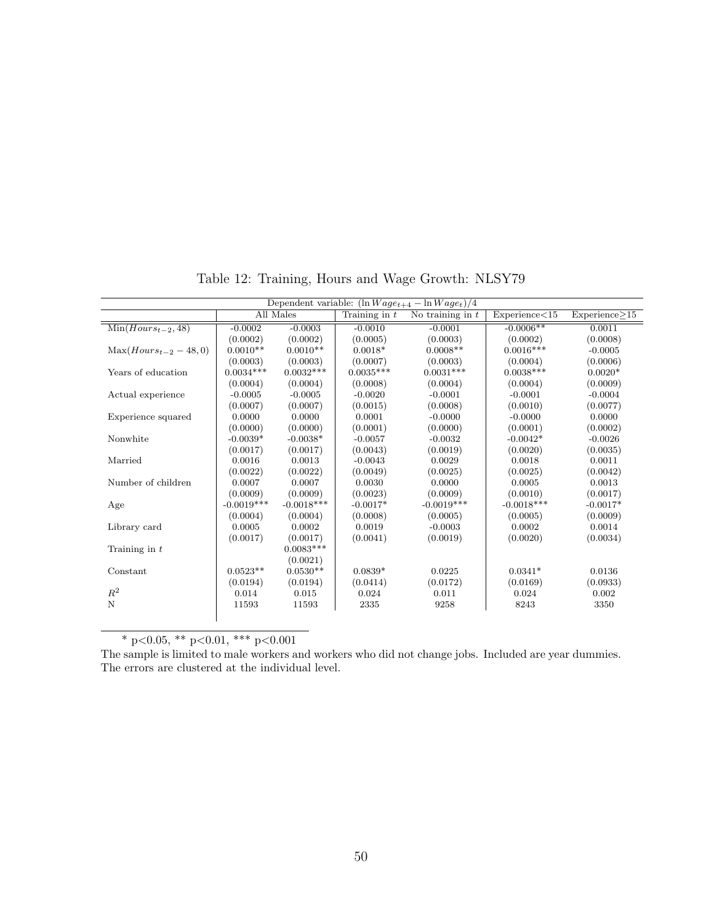| Dependent variable: $(\ln Wage_{t+4} - \ln Wage_t)/4$ |              |              |                 |                    |               |                      |  |  |  |  |
|-------------------------------------------------------|--------------|--------------|-----------------|--------------------|---------------|----------------------|--|--|--|--|
|                                                       | All Males    |              | Training in $t$ | No training in $t$ | Experience<15 | $Experience \geq 15$ |  |  |  |  |
| $\overline{\text{Min}}(Hours_{t-2}, 48)$              | $-0.0002$    | $-0.0003$    | $-0.0010$       | $-0.0001$          | $-0.0006**$   | 0.0011               |  |  |  |  |
|                                                       | (0.0002)     | (0.0002)     | (0.0005)        | (0.0003)           | (0.0002)      | (0.0008)             |  |  |  |  |
| $Max(Hours_{t-2} - 48, 0)$                            | $0.0010**$   | $0.0010**$   | $0.0018*$       | $0.0008**$         | $0.0016***$   | $-0.0005$            |  |  |  |  |
|                                                       | (0.0003)     | (0.0003)     | (0.0007)        | (0.0003)           | (0.0004)      | (0.0006)             |  |  |  |  |
| Years of education                                    | $0.0034***$  | $0.0032***$  | $0.0035***$     | $0.0031***$        | $0.0038***$   | $0.0020*$            |  |  |  |  |
|                                                       | (0.0004)     | (0.0004)     | (0.0008)        | (0.0004)           | (0.0004)      | (0.0009)             |  |  |  |  |
| Actual experience                                     | $-0.0005$    | $-0.0005$    | $-0.0020$       | $-0.0001$          | $-0.0001$     | $-0.0004$            |  |  |  |  |
|                                                       | (0.0007)     | (0.0007)     | (0.0015)        | (0.0008)           | (0.0010)      | (0.0077)             |  |  |  |  |
| Experience squared                                    | 0.0000       | 0.0000       | 0.0001          | $-0.0000$          | $-0.0000$     | 0.0000               |  |  |  |  |
|                                                       | (0.0000)     | (0.0000)     | (0.0001)        | (0.0000)           | (0.0001)      | (0.0002)             |  |  |  |  |
| Nonwhite                                              | $-0.0039*$   | $-0.0038*$   | $-0.0057$       | $-0.0032$          | $-0.0042*$    | $-0.0026$            |  |  |  |  |
|                                                       | (0.0017)     | (0.0017)     | (0.0043)        | (0.0019)           | (0.0020)      | (0.0035)             |  |  |  |  |
| Married                                               | 0.0016       | 0.0013       | $-0.0043$       | 0.0029             | 0.0018        | 0.0011               |  |  |  |  |
|                                                       | (0.0022)     | (0.0022)     | (0.0049)        | (0.0025)           | (0.0025)      | (0.0042)             |  |  |  |  |
| Number of children                                    | 0.0007       | 0.0007       | 0.0030          | 0.0000             | 0.0005        | 0.0013               |  |  |  |  |
|                                                       | (0.0009)     | (0.0009)     | (0.0023)        | (0.0009)           | (0.0010)      | (0.0017)             |  |  |  |  |
| Age                                                   | $-0.0019***$ | $-0.0018***$ | $-0.0017*$      | $-0.0019***$       | $-0.0018***$  | $-0.0017*$           |  |  |  |  |
|                                                       | (0.0004)     | (0.0004)     | (0.0008)        | (0.0005)           | (0.0005)      | (0.0009)             |  |  |  |  |
| Library card                                          | 0.0005       | 0.0002       | 0.0019          | $-0.0003$          | 0.0002        | 0.0014               |  |  |  |  |
|                                                       | (0.0017)     | (0.0017)     | (0.0041)        | (0.0019)           | (0.0020)      | (0.0034)             |  |  |  |  |
| Training in $t$                                       |              | $0.0083***$  |                 |                    |               |                      |  |  |  |  |
|                                                       |              | (0.0021)     |                 |                    |               |                      |  |  |  |  |
| Constant                                              | $0.0523**$   | $0.0530**$   | $0.0839*$       | 0.0225             | $0.0341*$     | 0.0136               |  |  |  |  |
|                                                       | (0.0194)     | (0.0194)     | (0.0414)        | (0.0172)           | (0.0169)      | (0.0933)             |  |  |  |  |
| $\mathbb{R}^2$                                        | 0.014        | 0.015        | 0.024           | 0.011              | 0.024         | 0.002                |  |  |  |  |
| N                                                     | 11593        | 11593        | 2335            | 9258               | 8243          | 3350                 |  |  |  |  |
|                                                       |              |              |                 |                    |               |                      |  |  |  |  |
|                                                       |              |              |                 |                    |               |                      |  |  |  |  |

Table 12: Training, Hours and Wage Growth: NLSY79

The sample is limited to male workers and workers who did not change jobs. Included are year dummies. The errors are clustered at the individual level.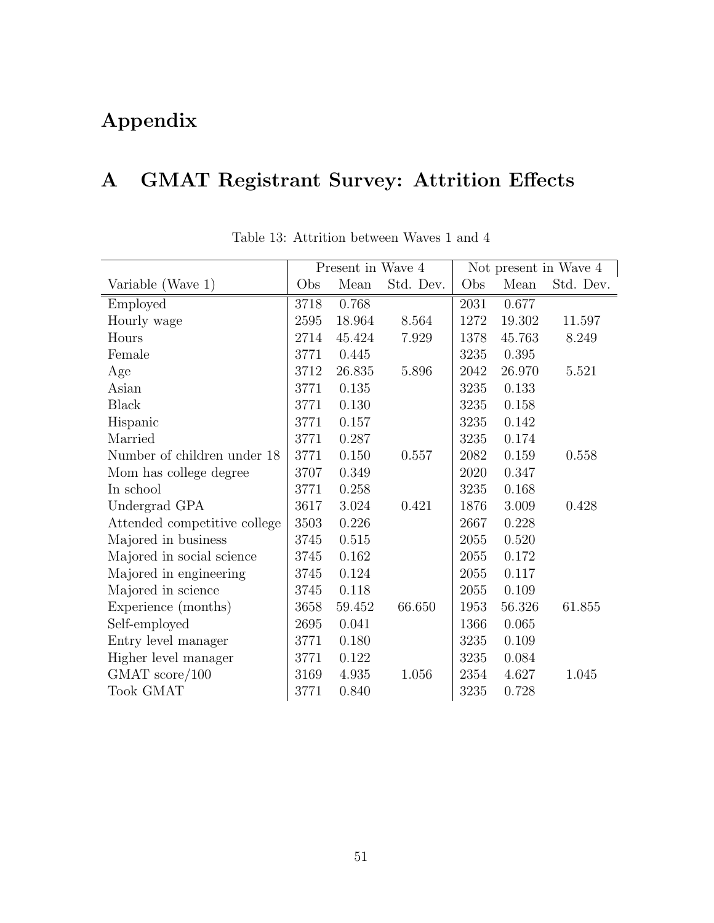## Appendix

## A GMAT Registrant Survey: Attrition Effects

|                              | Present in Wave 4 |        |           | Not present in Wave 4 |        |           |
|------------------------------|-------------------|--------|-----------|-----------------------|--------|-----------|
| Variable (Wave 1)            | Obs               | Mean   | Std. Dev. | Obs                   | Mean   | Std. Dev. |
| Employed                     | 3718              | 0.768  |           | 2031                  | 0.677  |           |
| Hourly wage                  | 2595              | 18.964 | 8.564     | 1272                  | 19.302 | 11.597    |
| Hours                        | 2714              | 45.424 | 7.929     | 1378                  | 45.763 | 8.249     |
| Female                       | 3771              | 0.445  |           | $3235\,$              | 0.395  |           |
| Age                          | 3712              | 26.835 | 5.896     | 2042                  | 26.970 | 5.521     |
| Asian                        | 3771              | 0.135  |           | 3235                  | 0.133  |           |
| <b>Black</b>                 | 3771              | 0.130  |           | 3235                  | 0.158  |           |
| Hispanic                     | 3771              | 0.157  |           | 3235                  | 0.142  |           |
| Married                      | 3771              | 0.287  |           | 3235                  | 0.174  |           |
| Number of children under 18  | 3771              | 0.150  | 0.557     | 2082                  | 0.159  | 0.558     |
| Mom has college degree       | 3707              | 0.349  |           | 2020                  | 0.347  |           |
| In school                    | 3771              | 0.258  |           | 3235                  | 0.168  |           |
| Undergrad GPA                | 3617              | 3.024  | 0.421     | 1876                  | 3.009  | 0.428     |
| Attended competitive college | 3503              | 0.226  |           | 2667                  | 0.228  |           |
| Majored in business          | 3745              | 0.515  |           | 2055                  | 0.520  |           |
| Majored in social science    | 3745              | 0.162  |           | 2055                  | 0.172  |           |
| Majored in engineering       | 3745              | 0.124  |           | 2055                  | 0.117  |           |
| Majored in science           | 3745              | 0.118  |           | 2055                  | 0.109  |           |
| Experience (months)          | 3658              | 59.452 | 66.650    | 1953                  | 56.326 | 61.855    |
| Self-employed                | 2695              | 0.041  |           | 1366                  | 0.065  |           |
| Entry level manager          | 3771              | 0.180  |           | 3235                  | 0.109  |           |
| Higher level manager         | 3771              | 0.122  |           | 3235                  | 0.084  |           |
| GMAT score/100               | 3169              | 4.935  | 1.056     | 2354                  | 4.627  | 1.045     |
| <b>Took GMAT</b>             | 3771              | 0.840  |           | 3235                  | 0.728  |           |

Table 13: Attrition between Waves 1 and 4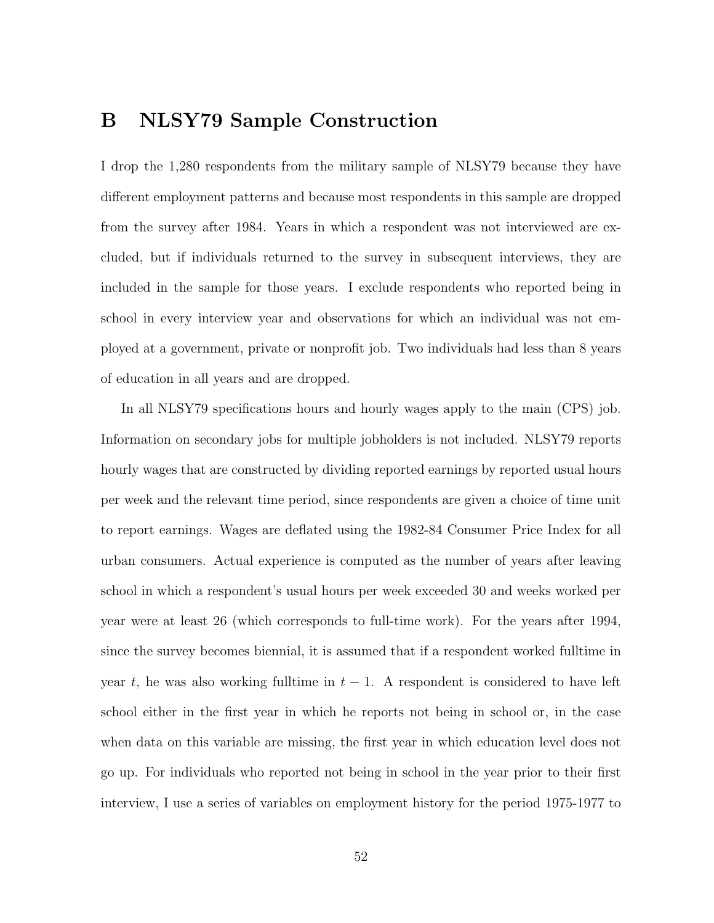### B NLSY79 Sample Construction

I drop the 1,280 respondents from the military sample of NLSY79 because they have different employment patterns and because most respondents in this sample are dropped from the survey after 1984. Years in which a respondent was not interviewed are excluded, but if individuals returned to the survey in subsequent interviews, they are included in the sample for those years. I exclude respondents who reported being in school in every interview year and observations for which an individual was not employed at a government, private or nonprofit job. Two individuals had less than 8 years of education in all years and are dropped.

In all NLSY79 specifications hours and hourly wages apply to the main (CPS) job. Information on secondary jobs for multiple jobholders is not included. NLSY79 reports hourly wages that are constructed by dividing reported earnings by reported usual hours per week and the relevant time period, since respondents are given a choice of time unit to report earnings. Wages are deflated using the 1982-84 Consumer Price Index for all urban consumers. Actual experience is computed as the number of years after leaving school in which a respondent's usual hours per week exceeded 30 and weeks worked per year were at least 26 (which corresponds to full-time work). For the years after 1994, since the survey becomes biennial, it is assumed that if a respondent worked fulltime in year t, he was also working fulltime in  $t-1$ . A respondent is considered to have left school either in the first year in which he reports not being in school or, in the case when data on this variable are missing, the first year in which education level does not go up. For individuals who reported not being in school in the year prior to their first interview, I use a series of variables on employment history for the period 1975-1977 to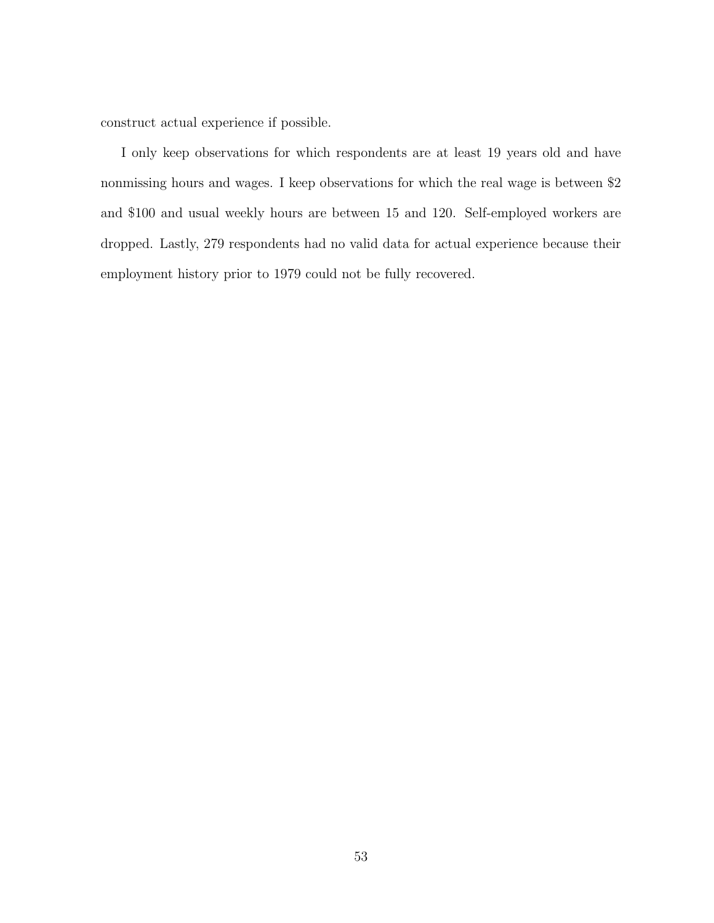construct actual experience if possible.

I only keep observations for which respondents are at least 19 years old and have nonmissing hours and wages. I keep observations for which the real wage is between \$2 and \$100 and usual weekly hours are between 15 and 120. Self-employed workers are dropped. Lastly, 279 respondents had no valid data for actual experience because their employment history prior to 1979 could not be fully recovered.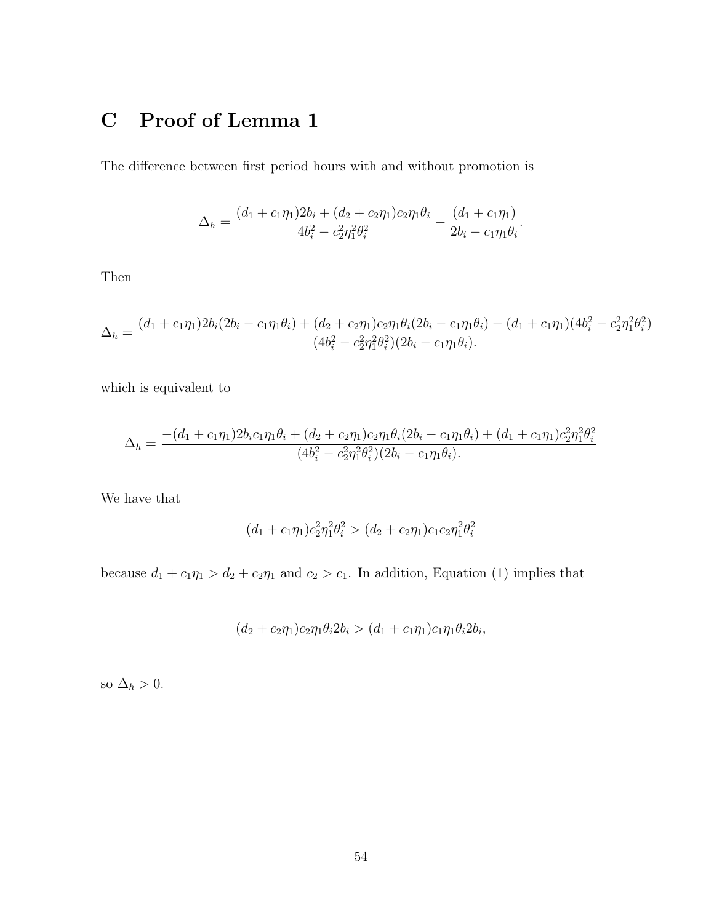## C Proof of Lemma 1

The difference between first period hours with and without promotion is

$$
\Delta_h = \frac{(d_1 + c_1\eta_1)2b_i + (d_2 + c_2\eta_1)c_2\eta_1\theta_i}{4b_i^2 - c_2^2\eta_1^2\theta_i^2} - \frac{(d_1 + c_1\eta_1)}{2b_i - c_1\eta_1\theta_i}.
$$

Then

$$
\Delta_h = \frac{(d_1 + c_1 \eta_1)2b_i(2b_i - c_1 \eta_1 \theta_i) + (d_2 + c_2 \eta_1)c_2 \eta_1 \theta_i(2b_i - c_1 \eta_1 \theta_i) - (d_1 + c_1 \eta_1)(4b_i^2 - c_2^2 \eta_1^2 \theta_i^2)}{(4b_i^2 - c_2^2 \eta_1^2 \theta_i^2)(2b_i - c_1 \eta_1 \theta_i)}.
$$

which is equivalent to

$$
\Delta_h = \frac{-(d_1 + c_1 \eta_1) 2b_i c_1 \eta_1 \theta_i + (d_2 + c_2 \eta_1) c_2 \eta_1 \theta_i (2b_i - c_1 \eta_1 \theta_i) + (d_1 + c_1 \eta_1) c_2^2 \eta_1^2 \theta_i^2}{(4b_i^2 - c_2^2 \eta_1^2 \theta_i^2)(2b_i - c_1 \eta_1 \theta_i)}.
$$

We have that

$$
(d_1 + c_1 \eta_1) c_2^2 \eta_1^2 \theta_i^2 > (d_2 + c_2 \eta_1) c_1 c_2 \eta_1^2 \theta_i^2
$$

because  $d_1 + c_1 \eta_1 > d_2 + c_2 \eta_1$  and  $c_2 > c_1$ . In addition, Equation (1) implies that

$$
(d_2 + c_2 \eta_1)c_2 \eta_1 \theta_i 2b_i > (d_1 + c_1 \eta_1)c_1 \eta_1 \theta_i 2b_i,
$$

so  $\Delta_h > 0$ .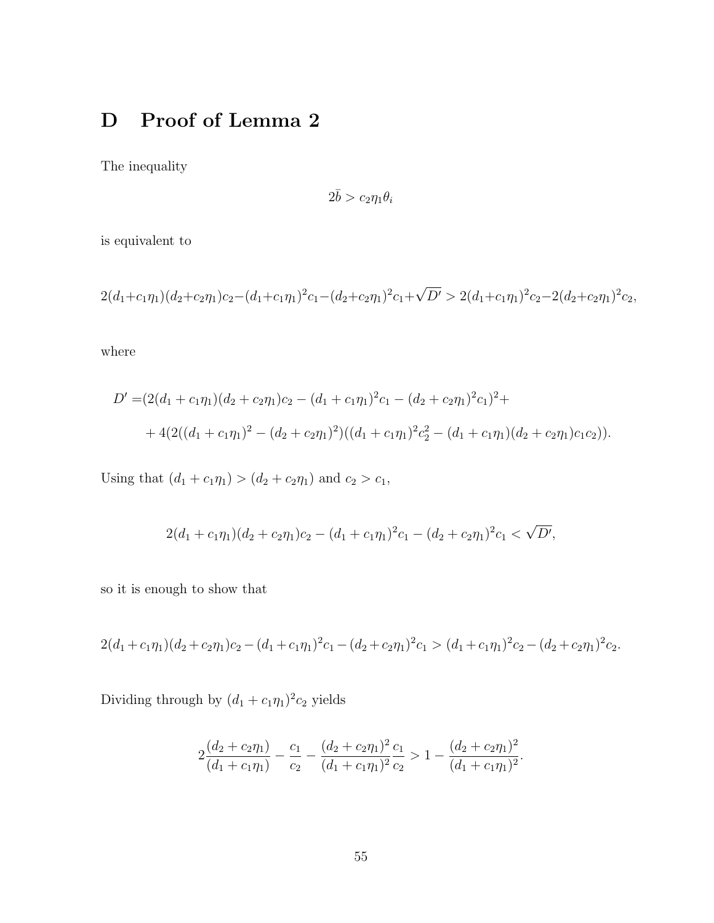## D Proof of Lemma 2

The inequality

$$
2\bar{b} > c_2 \eta_1 \theta_i
$$

is equivalent to

$$
2(d_1+c_1\eta_1)(d_2+c_2\eta_1)c_2-(d_1+c_1\eta_1)^2c_1-(d_2+c_2\eta_1)^2c_1+\sqrt{D'} > 2(d_1+c_1\eta_1)^2c_2-2(d_2+c_2\eta_1)^2c_2,
$$

where

$$
D' = (2(d_1 + c_1\eta_1)(d_2 + c_2\eta_1)c_2 - (d_1 + c_1\eta_1)^2c_1 - (d_2 + c_2\eta_1)^2c_1)^2 +
$$
  
+ 
$$
4(2((d_1 + c_1\eta_1)^2 - (d_2 + c_2\eta_1)^2)((d_1 + c_1\eta_1)^2c_2^2 - (d_1 + c_1\eta_1)(d_2 + c_2\eta_1)c_1c_2)).
$$

Using that  $(d_1 + c_1 \eta_1) > (d_2 + c_2 \eta_1)$  and  $c_2 > c_1$ ,

$$
2(d_1 + c_1\eta_1)(d_2 + c_2\eta_1)c_2 - (d_1 + c_1\eta_1)^2c_1 - (d_2 + c_2\eta_1)^2c_1 < \sqrt{D'},
$$

so it is enough to show that

$$
2(d_1 + c_1\eta_1)(d_2 + c_2\eta_1)c_2 - (d_1 + c_1\eta_1)^2c_1 - (d_2 + c_2\eta_1)^2c_1 > (d_1 + c_1\eta_1)^2c_2 - (d_2 + c_2\eta_1)^2c_2.
$$

Dividing through by  $(d_1 + c_1 \eta_1)^2 c_2$  yields

$$
2\frac{(d_2+c_2\eta_1)}{(d_1+c_1\eta_1)}-\frac{c_1}{c_2}-\frac{(d_2+c_2\eta_1)^2}{(d_1+c_1\eta_1)^2}\frac{c_1}{c_2}>1-\frac{(d_2+c_2\eta_1)^2}{(d_1+c_1\eta_1)^2}.
$$